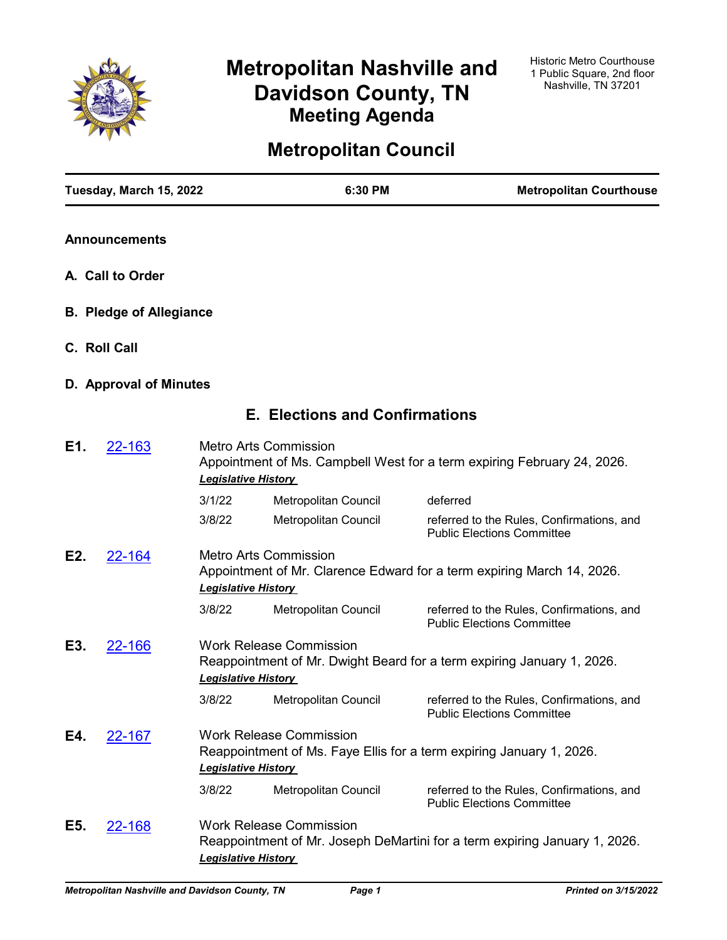

# **Metropolitan Nashville and Davidson County, TN Meeting Agenda**

# **Metropolitan Council**

|     | Tuesday, March 15, 2022        |                            | 6:30 PM                               | <b>Metropolitan Courthouse</b>                                                 |
|-----|--------------------------------|----------------------------|---------------------------------------|--------------------------------------------------------------------------------|
|     | <b>Announcements</b>           |                            |                                       |                                                                                |
|     | A. Call to Order               |                            |                                       |                                                                                |
|     | <b>B. Pledge of Allegiance</b> |                            |                                       |                                                                                |
|     | C. Roll Call                   |                            |                                       |                                                                                |
|     | D. Approval of Minutes         |                            |                                       |                                                                                |
|     |                                |                            | <b>E. Elections and Confirmations</b> |                                                                                |
| E1. | 22-163                         | <b>Legislative History</b> | <b>Metro Arts Commission</b>          | Appointment of Ms. Campbell West for a term expiring February 24, 2026.        |
|     |                                | 3/1/22                     | Metropolitan Council                  | deferred                                                                       |
|     |                                | 3/8/22                     | Metropolitan Council                  | referred to the Rules, Confirmations, and<br><b>Public Elections Committee</b> |
| E2. | 22-164                         | <b>Legislative History</b> | Metro Arts Commission                 | Appointment of Mr. Clarence Edward for a term expiring March 14, 2026.         |
|     |                                | 3/8/22                     | Metropolitan Council                  | referred to the Rules, Confirmations, and<br><b>Public Elections Committee</b> |
| E3. | 22-166                         | <b>Legislative History</b> | <b>Work Release Commission</b>        | Reappointment of Mr. Dwight Beard for a term expiring January 1, 2026.         |
|     |                                | 3/8/22                     | Metropolitan Council                  | referred to the Rules, Confirmations, and<br><b>Public Elections Committee</b> |
| E4. | 22-167                         | <b>Legislative History</b> | <b>Work Release Commission</b>        | Reappointment of Ms. Faye Ellis for a term expiring January 1, 2026.           |
|     |                                | 3/8/22                     | Metropolitan Council                  | referred to the Rules, Confirmations, and<br><b>Public Elections Committee</b> |
| E5. | <u>22-168</u>                  | <b>Legislative History</b> | <b>Work Release Commission</b>        | Reappointment of Mr. Joseph DeMartini for a term expiring January 1, 2026.     |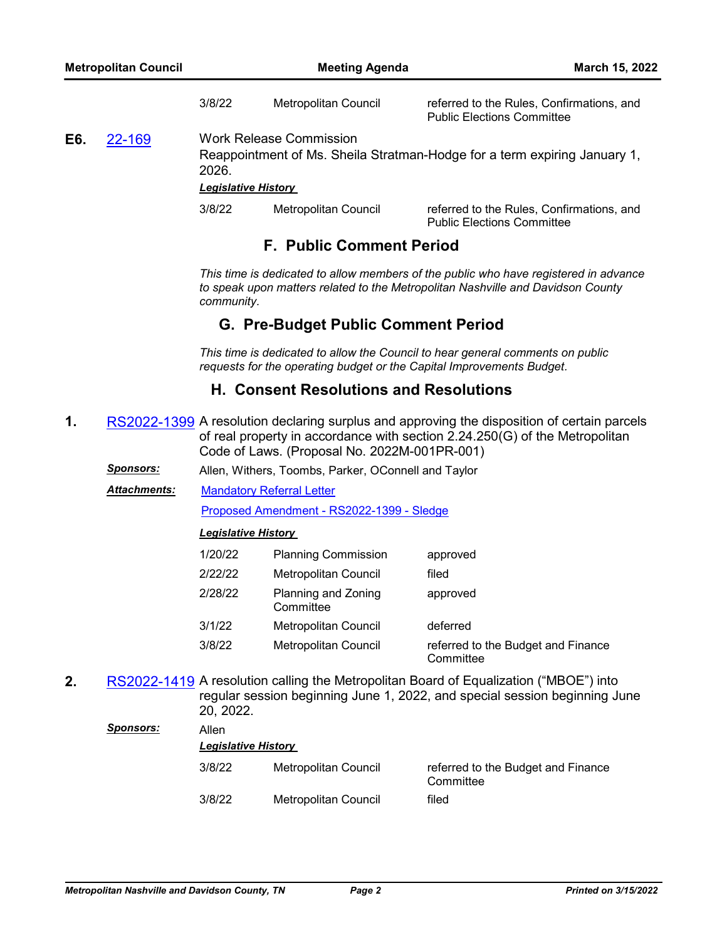3/8/22 Metropolitan Council referred to the Rules, Confirmations, and Public Elections Committee

**E6.** [22-169](http://nashville.legistar.com/gateway.aspx?m=l&id=/matter.aspx?key=14251) Work Release Commission

Reappointment of Ms. Sheila Stratman-Hodge for a term expiring January 1, 2026.

*Legislative History* 

| 3/8/22 | Metropolitan Council | referred to the Rules, Confirmations, and |
|--------|----------------------|-------------------------------------------|
|        |                      | <b>Public Elections Committee</b>         |

# **F. Public Comment Period**

*This time is dedicated to allow members of the public who have registered in advance to speak upon matters related to the Metropolitan Nashville and Davidson County community.*

# **G. Pre-Budget Public Comment Period**

*This time is dedicated to allow the Council to hear general comments on public requests for the operating budget or the Capital Improvements Budget.*

# **H. Consent Resolutions and Resolutions**

- **1.** [RS2022-1399](http://nashville.legistar.com/gateway.aspx?m=l&id=/matter.aspx?key=14148) A resolution declaring surplus and approving the disposition of certain parcels of real property in accordance with section 2.24.250(G) of the Metropolitan Code of Laws. (Proposal No. 2022M-001PR-001)
	- *Sponsors:* Allen, Withers, Toombs, Parker, OConnell and Taylor
	- [Mandatory Referral Letter](http://nashville.legistar.com/gateway.aspx?M=F&ID=05b60d78-9649-425c-a30b-c73b98a418c7.pdf) [Proposed Amendment - RS2022-1399 - Sledge](http://nashville.legistar.com/gateway.aspx?M=F&ID=0439fda4-8a2b-481c-ac40-257b72785540.docx) *Attachments:*

### *Legislative History*

| 1/20/22 | <b>Planning Commission</b>       | approved                                        |
|---------|----------------------------------|-------------------------------------------------|
| 2/22/22 | <b>Metropolitan Council</b>      | filed                                           |
| 2/28/22 | Planning and Zoning<br>Committee | approved                                        |
| 3/1/22  | <b>Metropolitan Council</b>      | deferred                                        |
| 3/8/22  | Metropolitan Council             | referred to the Budget and Finance<br>Committee |

**2.** [RS2022-1419](http://nashville.legistar.com/gateway.aspx?m=l&id=/matter.aspx?key=14223) A resolution calling the Metropolitan Board of Equalization ("MBOE") into regular session beginning June 1, 2022, and special session beginning June 20, 2022.

| Sponsors: | Allen<br><b>Legislative History</b> |                      |                                                 |  |
|-----------|-------------------------------------|----------------------|-------------------------------------------------|--|
|           | 3/8/22                              | Metropolitan Council | referred to the Budget and Finance<br>Committee |  |
|           | 3/8/22                              | Metropolitan Council | filed                                           |  |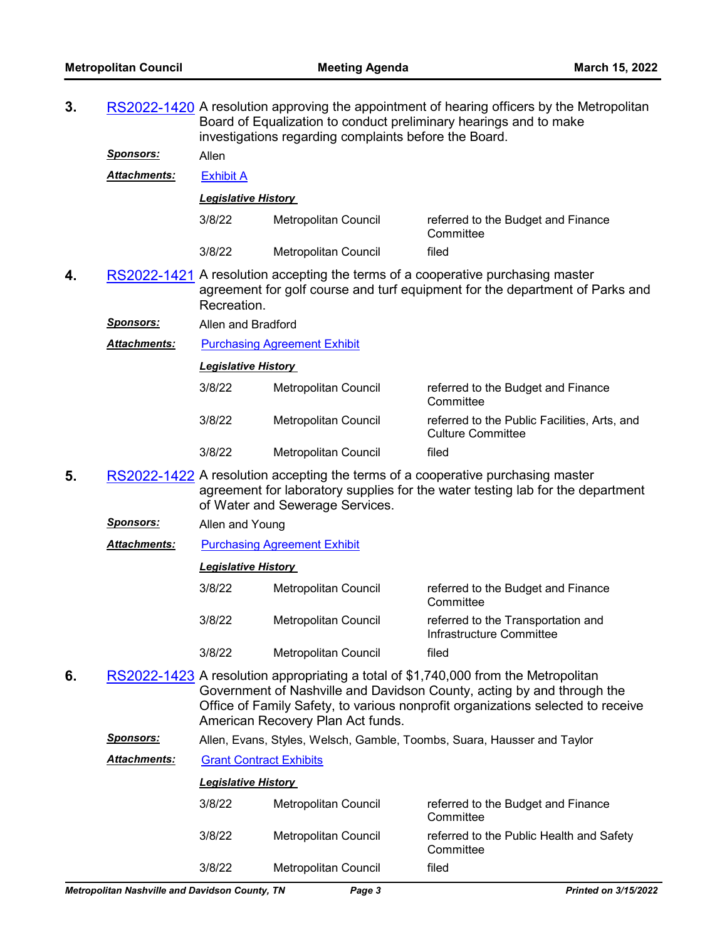**3.** [RS2022-1420](http://nashville.legistar.com/gateway.aspx?m=l&id=/matter.aspx?key=14222) A resolution approving the appointment of hearing officers by the Metropolitan Board of Equalization to conduct preliminary hearings and to make investigations regarding complaints before the Board. *Sponsors:* Allen *Attachments:* [Exhibit A](http://nashville.legistar.com/gateway.aspx?M=F&ID=34d16358-89e5-4f7b-b4fb-48098b2e0388.pdf) *Legislative History*  3/8/22 Metropolitan Council referred to the Budget and Finance **Committee** 3/8/22 Metropolitan Council filed **4.** [RS2022-1421](http://nashville.legistar.com/gateway.aspx?m=l&id=/matter.aspx?key=14236) A resolution accepting the terms of a cooperative purchasing master agreement for golf course and turf equipment for the department of Parks and Recreation. *Sponsors:* Allen and Bradford **Attachments:** [Purchasing Agreement Exhibit](http://nashville.legistar.com/gateway.aspx?M=F&ID=6a7244ff-fa15-4c1d-8871-82d5f618a776.pdf) *Legislative History*  3/8/22 Metropolitan Council referred to the Budget and Finance **Committee** 3/8/22 Metropolitan Council referred to the Public Facilities, Arts, and Culture Committee 3/8/22 Metropolitan Council filed **5.** [RS2022-1422](http://nashville.legistar.com/gateway.aspx?m=l&id=/matter.aspx?key=14235) A resolution accepting the terms of a cooperative purchasing master agreement for laboratory supplies for the water testing lab for the department of Water and Sewerage Services. *Sponsors:* Allen and Young *Attachments:* [Purchasing Agreement Exhibit](http://nashville.legistar.com/gateway.aspx?M=F&ID=dc450b12-fb23-4c40-95d6-40301b04efd4.pdf) *Legislative History*  3/8/22 Metropolitan Council referred to the Budget and Finance **Committee** 3/8/22 Metropolitan Council referred to the Transportation and Infrastructure Committee 3/8/22 Metropolitan Council filed **6.** [RS2022-1423](http://nashville.legistar.com/gateway.aspx?m=l&id=/matter.aspx?key=14237) A resolution appropriating a total of \$1,740,000 from the Metropolitan Government of Nashville and Davidson County, acting by and through the Office of Family Safety, to various nonprofit organizations selected to receive American Recovery Plan Act funds. *Sponsors:* Allen, Evans, Styles, Welsch, Gamble, Toombs, Suara, Hausser and Taylor *Attachments:* [Grant Contract Exhibits](http://nashville.legistar.com/gateway.aspx?M=F&ID=5eeb4808-8c0a-4914-a75e-8a5b9da82d7a.pdf) *Legislative History*  3/8/22 Metropolitan Council referred to the Budget and Finance **Committee** 

| 3/8/22 | Metropolitan Council | referred to the Public Health and Safety<br>Committee |
|--------|----------------------|-------------------------------------------------------|
| 3/8/22 | Metropolitan Council | filed                                                 |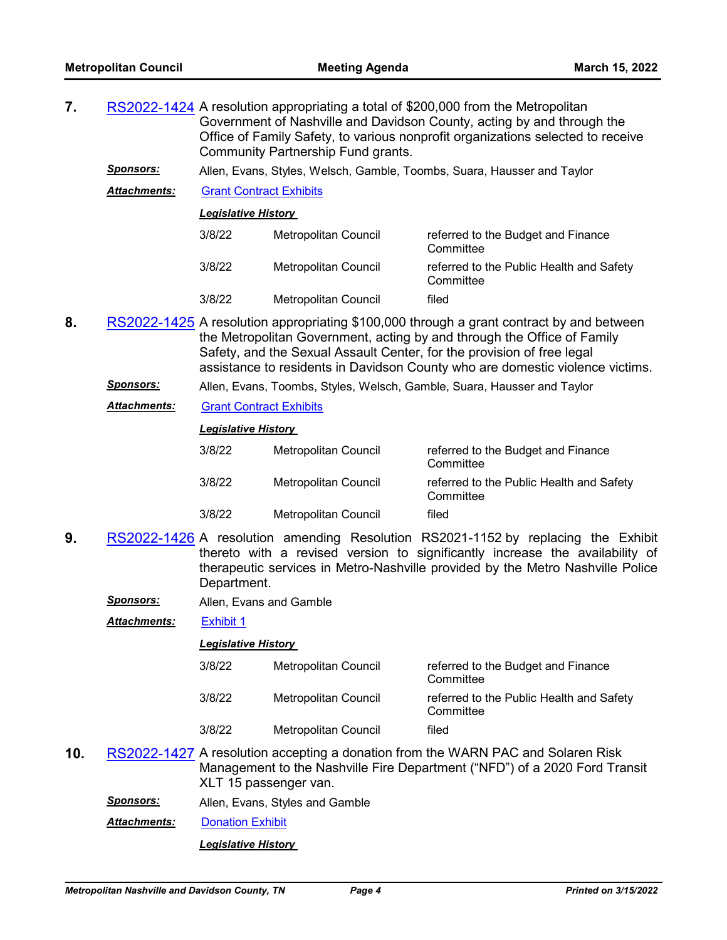- **7.** [RS2022-1424](http://nashville.legistar.com/gateway.aspx?m=l&id=/matter.aspx?key=14238) A resolution appropriating a total of \$200,000 from the Metropolitan Government of Nashville and Davidson County, acting by and through the Office of Family Safety, to various nonprofit organizations selected to receive Community Partnership Fund grants.
	- *Sponsors:* Allen, Evans, Styles, Welsch, Gamble, Toombs, Suara, Hausser and Taylor
	- *Attachments:* [Grant Contract Exhibits](http://nashville.legistar.com/gateway.aspx?M=F&ID=440914b8-86eb-4d42-8e17-3aa98be61ea0.pdf)

*Legislative History* 

| 3/8/22 | Metropolitan Council | referred to the Budget and Finance<br>Committee       |
|--------|----------------------|-------------------------------------------------------|
| 3/8/22 | Metropolitan Council | referred to the Public Health and Safety<br>Committee |
| 3/8/22 | Metropolitan Council | filed                                                 |

- **8.** [RS2022-1425](http://nashville.legistar.com/gateway.aspx?m=l&id=/matter.aspx?key=14240) A resolution appropriating \$100,000 through a grant contract by and between the Metropolitan Government, acting by and through the Office of Family Safety, and the Sexual Assault Center, for the provision of free legal assistance to residents in Davidson County who are domestic violence victims.
	- *Sponsors:* Allen, Evans, Toombs, Styles, Welsch, Gamble, Suara, Hausser and Taylor
	- *Attachments:* [Grant Contract Exhibits](http://nashville.legistar.com/gateway.aspx?M=F&ID=6d07e6e0-8961-4f90-91cc-976a0140ec4e.pdf)

#### *Legislative History*

| 3/8/22 | Metropolitan Council | referred to the Budget and Finance<br>Committee       |
|--------|----------------------|-------------------------------------------------------|
| 3/8/22 | Metropolitan Council | referred to the Public Health and Safety<br>Committee |
| 3/8/22 | Metropolitan Council | filed                                                 |

- **9.** [RS2022-1426](http://nashville.legistar.com/gateway.aspx?m=l&id=/matter.aspx?key=14239) A resolution amending Resolution RS2021-1152 by replacing the Exhibit thereto with a revised version to significantly increase the availability of therapeutic services in Metro-Nashville provided by the Metro Nashville Police Department.
	- *Sponsors:* Allen, Evans and Gamble

*Attachments:* [Exhibit 1](http://nashville.legistar.com/gateway.aspx?M=F&ID=70bdc50a-40a5-4f60-9973-e3b4f9397f61.pdf)

#### *Legislative History*

| 3/8/22 | Metropolitan Council | referred to the Budget and Finance<br>Committee       |
|--------|----------------------|-------------------------------------------------------|
| 3/8/22 | Metropolitan Council | referred to the Public Health and Safety<br>Committee |
| 3/8/22 | Metropolitan Council | filed                                                 |

- **10.** [RS2022-1427](http://nashville.legistar.com/gateway.aspx?m=l&id=/matter.aspx?key=14221) A resolution accepting a donation from the WARN PAC and Solaren Risk Management to the Nashville Fire Department ("NFD") of a 2020 Ford Transit XLT 15 passenger van.
	- *Sponsors:* Allen, Evans, Styles and Gamble
	- *Attachments:* [Donation Exhibit](http://nashville.legistar.com/gateway.aspx?M=F&ID=0db926a8-7184-4e34-9c95-0580973a38e1.pdf)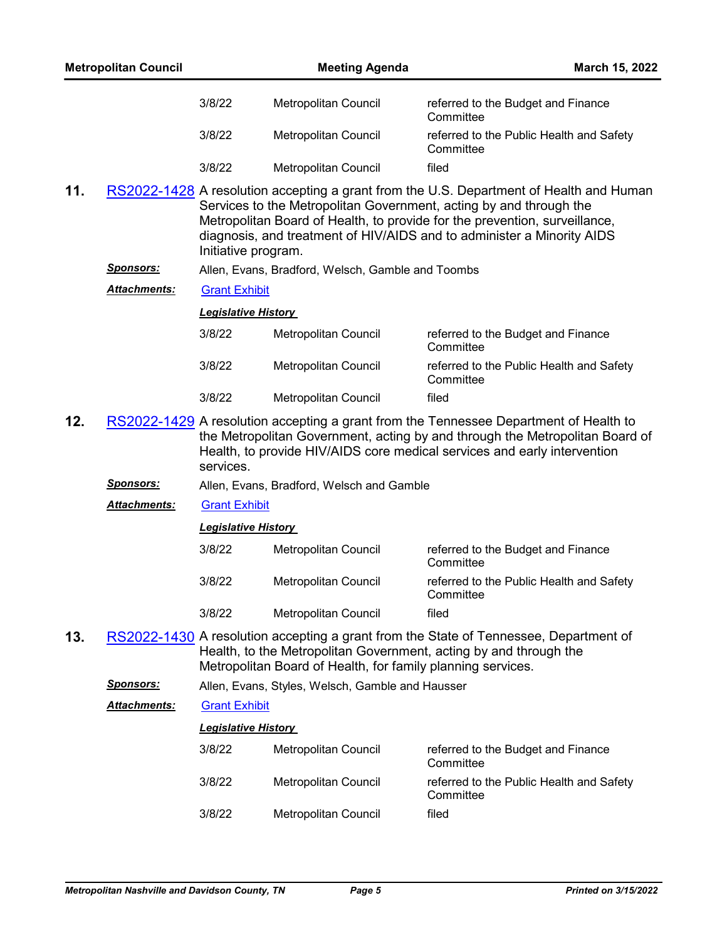|     | <b>Metropolitan Council</b> |                            | <b>Meeting Agenda</b>                                       | March 15, 2022                                                                                                                                                                                                                                                                                                        |
|-----|-----------------------------|----------------------------|-------------------------------------------------------------|-----------------------------------------------------------------------------------------------------------------------------------------------------------------------------------------------------------------------------------------------------------------------------------------------------------------------|
|     |                             | 3/8/22                     | Metropolitan Council                                        | referred to the Budget and Finance<br>Committee                                                                                                                                                                                                                                                                       |
|     |                             | 3/8/22                     | Metropolitan Council                                        | referred to the Public Health and Safety<br>Committee                                                                                                                                                                                                                                                                 |
|     |                             | 3/8/22                     | Metropolitan Council                                        | filed                                                                                                                                                                                                                                                                                                                 |
| 11. |                             | Initiative program.        |                                                             | RS2022-1428 A resolution accepting a grant from the U.S. Department of Health and Human<br>Services to the Metropolitan Government, acting by and through the<br>Metropolitan Board of Health, to provide for the prevention, surveillance,<br>diagnosis, and treatment of HIV/AIDS and to administer a Minority AIDS |
|     | <u>Sponsors:</u>            |                            | Allen, Evans, Bradford, Welsch, Gamble and Toombs           |                                                                                                                                                                                                                                                                                                                       |
|     | <b>Attachments:</b>         | <b>Grant Exhibit</b>       |                                                             |                                                                                                                                                                                                                                                                                                                       |
|     |                             | <b>Legislative History</b> |                                                             |                                                                                                                                                                                                                                                                                                                       |
|     |                             | 3/8/22                     | Metropolitan Council                                        | referred to the Budget and Finance<br>Committee                                                                                                                                                                                                                                                                       |
|     |                             | 3/8/22                     | Metropolitan Council                                        | referred to the Public Health and Safety<br>Committee                                                                                                                                                                                                                                                                 |
|     |                             | 3/8/22                     | Metropolitan Council                                        | filed                                                                                                                                                                                                                                                                                                                 |
| 12. |                             | services.                  |                                                             | RS2022-1429 A resolution accepting a grant from the Tennessee Department of Health to<br>the Metropolitan Government, acting by and through the Metropolitan Board of<br>Health, to provide HIV/AIDS core medical services and early intervention                                                                     |
|     | <u>Sponsors:</u>            |                            | Allen, Evans, Bradford, Welsch and Gamble                   |                                                                                                                                                                                                                                                                                                                       |
|     | Attachments:                | <b>Grant Exhibit</b>       |                                                             |                                                                                                                                                                                                                                                                                                                       |
|     |                             | <b>Legislative History</b> |                                                             |                                                                                                                                                                                                                                                                                                                       |
|     |                             | 3/8/22                     | Metropolitan Council                                        | referred to the Budget and Finance<br>Committee                                                                                                                                                                                                                                                                       |
|     |                             | 3/8/22                     | <b>Metropolitan Council</b>                                 | referred to the Public Health and Safety<br>Committee                                                                                                                                                                                                                                                                 |
|     |                             | 3/8/22                     | Metropolitan Council                                        | filed                                                                                                                                                                                                                                                                                                                 |
| 13. |                             |                            | Metropolitan Board of Health, for family planning services. | RS2022-1430 A resolution accepting a grant from the State of Tennessee, Department of<br>Health, to the Metropolitan Government, acting by and through the                                                                                                                                                            |
|     | <u>Sponsors:</u>            |                            | Allen, Evans, Styles, Welsch, Gamble and Hausser            |                                                                                                                                                                                                                                                                                                                       |
|     | Attachments:                | <b>Grant Exhibit</b>       |                                                             |                                                                                                                                                                                                                                                                                                                       |
|     |                             | <b>Legislative History</b> |                                                             |                                                                                                                                                                                                                                                                                                                       |
|     |                             | 3/8/22                     | Metropolitan Council                                        | referred to the Budget and Finance<br>Committee                                                                                                                                                                                                                                                                       |
|     |                             | 3/8/22                     | Metropolitan Council                                        | referred to the Public Health and Safety<br>Committee                                                                                                                                                                                                                                                                 |
|     |                             | 3/8/22                     | Metropolitan Council                                        | filed                                                                                                                                                                                                                                                                                                                 |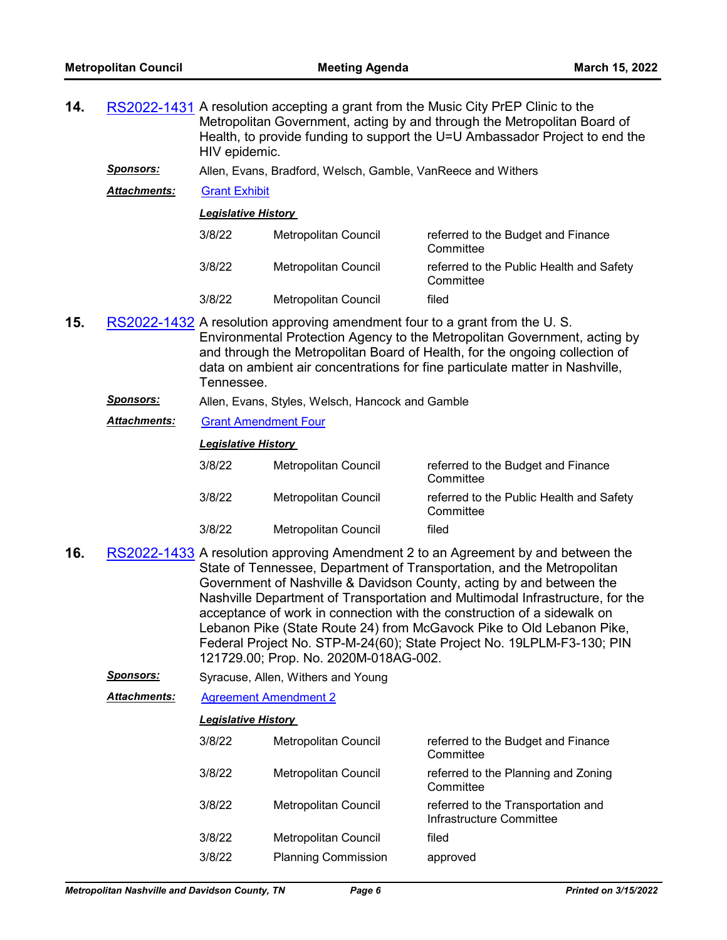| 14.                                                                                                                                                                                                                                                                                                                                         |                     | RS2022-1431 A resolution accepting a grant from the Music City PrEP Clinic to the<br>Metropolitan Government, acting by and through the Metropolitan Board of<br>Health, to provide funding to support the U=U Ambassador Project to end the<br>HIV epidemic. |                                                              |                                                                                                                                                                                                                                                                                                                                                                                                                                                                                                                                                    |
|---------------------------------------------------------------------------------------------------------------------------------------------------------------------------------------------------------------------------------------------------------------------------------------------------------------------------------------------|---------------------|---------------------------------------------------------------------------------------------------------------------------------------------------------------------------------------------------------------------------------------------------------------|--------------------------------------------------------------|----------------------------------------------------------------------------------------------------------------------------------------------------------------------------------------------------------------------------------------------------------------------------------------------------------------------------------------------------------------------------------------------------------------------------------------------------------------------------------------------------------------------------------------------------|
|                                                                                                                                                                                                                                                                                                                                             | <b>Sponsors:</b>    |                                                                                                                                                                                                                                                               | Allen, Evans, Bradford, Welsch, Gamble, VanReece and Withers |                                                                                                                                                                                                                                                                                                                                                                                                                                                                                                                                                    |
|                                                                                                                                                                                                                                                                                                                                             | <b>Attachments:</b> | <b>Grant Exhibit</b>                                                                                                                                                                                                                                          |                                                              |                                                                                                                                                                                                                                                                                                                                                                                                                                                                                                                                                    |
|                                                                                                                                                                                                                                                                                                                                             |                     | <b>Legislative History</b>                                                                                                                                                                                                                                    |                                                              |                                                                                                                                                                                                                                                                                                                                                                                                                                                                                                                                                    |
|                                                                                                                                                                                                                                                                                                                                             |                     | 3/8/22                                                                                                                                                                                                                                                        | Metropolitan Council                                         | referred to the Budget and Finance<br>Committee                                                                                                                                                                                                                                                                                                                                                                                                                                                                                                    |
|                                                                                                                                                                                                                                                                                                                                             |                     | 3/8/22                                                                                                                                                                                                                                                        | Metropolitan Council                                         | referred to the Public Health and Safety<br>Committee                                                                                                                                                                                                                                                                                                                                                                                                                                                                                              |
|                                                                                                                                                                                                                                                                                                                                             |                     | 3/8/22                                                                                                                                                                                                                                                        | <b>Metropolitan Council</b>                                  | filed                                                                                                                                                                                                                                                                                                                                                                                                                                                                                                                                              |
| 15.<br>RS2022-1432 A resolution approving amendment four to a grant from the U.S.<br>Environmental Protection Agency to the Metropolitan Government, acting by<br>and through the Metropolitan Board of Health, for the ongoing collection of<br>data on ambient air concentrations for fine particulate matter in Nashville,<br>Tennessee. |                     |                                                                                                                                                                                                                                                               |                                                              |                                                                                                                                                                                                                                                                                                                                                                                                                                                                                                                                                    |
|                                                                                                                                                                                                                                                                                                                                             | Sponsors:           |                                                                                                                                                                                                                                                               | Allen, Evans, Styles, Welsch, Hancock and Gamble             |                                                                                                                                                                                                                                                                                                                                                                                                                                                                                                                                                    |
|                                                                                                                                                                                                                                                                                                                                             | Attachments:        | <b>Grant Amendment Four</b>                                                                                                                                                                                                                                   |                                                              |                                                                                                                                                                                                                                                                                                                                                                                                                                                                                                                                                    |
|                                                                                                                                                                                                                                                                                                                                             |                     | <b>Legislative History</b>                                                                                                                                                                                                                                    |                                                              |                                                                                                                                                                                                                                                                                                                                                                                                                                                                                                                                                    |
|                                                                                                                                                                                                                                                                                                                                             |                     | 3/8/22                                                                                                                                                                                                                                                        | Metropolitan Council                                         | referred to the Budget and Finance<br>Committee                                                                                                                                                                                                                                                                                                                                                                                                                                                                                                    |
|                                                                                                                                                                                                                                                                                                                                             |                     | 3/8/22                                                                                                                                                                                                                                                        | Metropolitan Council                                         | referred to the Public Health and Safety<br>Committee                                                                                                                                                                                                                                                                                                                                                                                                                                                                                              |
|                                                                                                                                                                                                                                                                                                                                             |                     | 3/8/22                                                                                                                                                                                                                                                        | Metropolitan Council                                         | filed                                                                                                                                                                                                                                                                                                                                                                                                                                                                                                                                              |
| 16.                                                                                                                                                                                                                                                                                                                                         |                     |                                                                                                                                                                                                                                                               |                                                              | RS2022-1433 A resolution approving Amendment 2 to an Agreement by and between the<br>State of Tennessee, Department of Transportation, and the Metropolitan<br>Government of Nashville & Davidson County, acting by and between the<br>Nashville Department of Transportation and Multimodal Infrastructure, for the<br>acceptance of work in connection with the construction of a sidewalk on<br>Lebanon Pike (State Route 24) from McGavock Pike to Old Lebanon Pike,<br>Federal Project No. STP-M-24(60); State Project No. 19LPLM-F3-130; PIN |

*Sponsors:* Syracuse, Allen, Withers and Young

121729.00; Prop. No. 2020M-018AG-002.

*Attachments:* [Agreement Amendment 2](http://nashville.legistar.com/gateway.aspx?M=F&ID=412a803a-3ab3-4d65-897a-283c1e8e947b.pdf)

| 3/8/22 | Metropolitan Council        | referred to the Budget and Finance<br>Committee                |
|--------|-----------------------------|----------------------------------------------------------------|
| 3/8/22 | Metropolitan Council        | referred to the Planning and Zoning<br>Committee               |
| 3/8/22 | <b>Metropolitan Council</b> | referred to the Transportation and<br>Infrastructure Committee |
| 3/8/22 | Metropolitan Council        | filed                                                          |
| 3/8/22 | <b>Planning Commission</b>  | approved                                                       |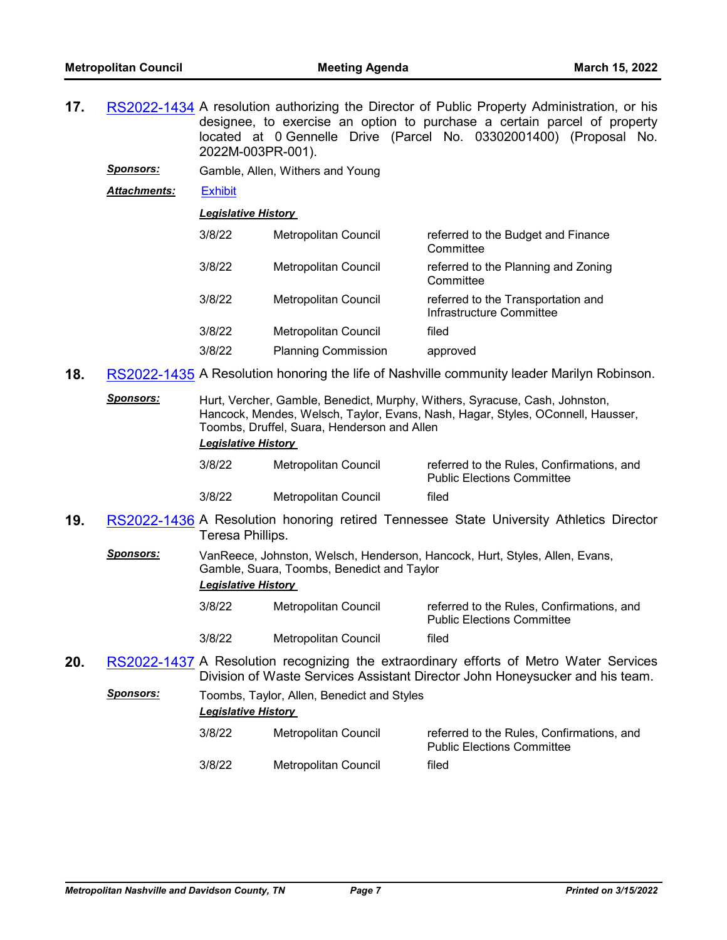- **17.** [RS2022-1434](http://nashville.legistar.com/gateway.aspx?m=l&id=/matter.aspx?key=14234) A resolution authorizing the Director of Public Property Administration, or his designee, to exercise an option to purchase a certain parcel of property located at 0 Gennelle Drive (Parcel No. 03302001400) (Proposal No. 2022M-003PR-001).
	- *Sponsors:* Gamble, Allen, Withers and Young
	- *Attachments:* [Exhibit](http://nashville.legistar.com/gateway.aspx?M=F&ID=0b75d2d4-fdd5-4194-8bd4-e6d9c59bfc00.pdf)

| 3/8/22 | Metropolitan Council        | referred to the Budget and Finance<br>Committee                |
|--------|-----------------------------|----------------------------------------------------------------|
| 3/8/22 | Metropolitan Council        | referred to the Planning and Zoning<br>Committee               |
| 3/8/22 | Metropolitan Council        | referred to the Transportation and<br>Infrastructure Committee |
| 3/8/22 | <b>Metropolitan Council</b> | filed                                                          |
| 3/8/22 | <b>Planning Commission</b>  | approved                                                       |

- **18.** [RS2022-1435](http://nashville.legistar.com/gateway.aspx?m=l&id=/matter.aspx?key=14242) A Resolution honoring the life of Nashville community leader Marilyn Robinson.
	- *Sponsors:* Hurt, Vercher, Gamble, Benedict, Murphy, Withers, Syracuse, Cash, Johnston, Hancock, Mendes, Welsch, Taylor, Evans, Nash, Hagar, Styles, OConnell, Hausser, Toombs, Druffel, Suara, Henderson and Allen *Legislative History*

| 3/8/22 | Metropolitan Council | referred to the Rules. Confirmations, and<br><b>Public Elections Committee</b> |
|--------|----------------------|--------------------------------------------------------------------------------|
| 3/8/22 | Metropolitan Council | filed                                                                          |

- **19.** [RS2022-1436](http://nashville.legistar.com/gateway.aspx?m=l&id=/matter.aspx?key=14230) A Resolution honoring retired Tennessee State University Athletics Director Teresa Phillips.
	- *Sponsors:* VanReece, Johnston, Welsch, Henderson, Hancock, Hurt, Styles, Allen, Evans, Gamble, Suara, Toombs, Benedict and Taylor *Legislative History* 
		- 3/8/22 Metropolitan Council referred to the Rules, Confirmations, and Public Elections Committee 3/8/22 Metropolitan Council filed
- **20.** [RS2022-1437](http://nashville.legistar.com/gateway.aspx?m=l&id=/matter.aspx?key=14231) A Resolution recognizing the extraordinary efforts of Metro Water Services Division of Waste Services Assistant Director John Honeysucker and his team.
	- **Sponsors:** Toombs, Taylor, Allen, Benedict and Styles *Legislative History* 
		- 3/8/22 Metropolitan Council referred to the Rules, Confirmations, and Public Elections Committee 3/8/22 Metropolitan Council filed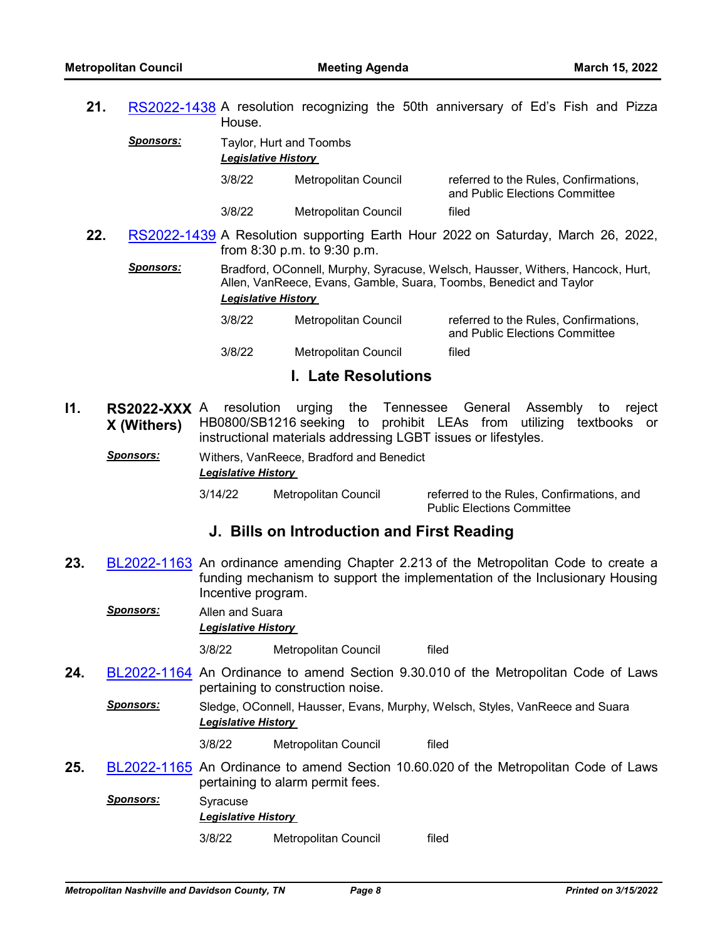**21.** [RS2022-1438](http://nashville.legistar.com/gateway.aspx?m=l&id=/matter.aspx?key=14229) A resolution recognizing the 50th anniversary of Ed's Fish and Pizza House.

| <b>Sponsors:</b> |                  | Taylor, Hurt and Toombs<br><b>Legislative History</b> |                                                                    |                                                                                  |  |
|------------------|------------------|-------------------------------------------------------|--------------------------------------------------------------------|----------------------------------------------------------------------------------|--|
|                  |                  | 3/8/22                                                | Metropolitan Council                                               | referred to the Rules, Confirmations,<br>and Public Elections Committee          |  |
|                  |                  | 3/8/22                                                | Metropolitan Council                                               | filed                                                                            |  |
| 22.              |                  |                                                       | from 8:30 p.m. to 9:30 p.m.                                        | RS2022-1439 A Resolution supporting Earth Hour 2022 on Saturday, March 26, 2022, |  |
|                  | <b>Sponsors:</b> | <b>Legislative History</b>                            | Allen, VanReece, Evans, Gamble, Suara, Toombs, Benedict and Taylor | Bradford, OConnell, Murphy, Syracuse, Welsch, Hausser, Withers, Hancock, Hurt,   |  |
|                  |                  | 3/8/22                                                | Metropolitan Council                                               | referred to the Rules, Confirmations,<br>and Public Elections Committee          |  |
|                  |                  | 3/8/22                                                | Metropolitan Council                                               | filed                                                                            |  |

## **I. Late Resolutions**

- **I1. RS2022-XXX X (Withers)** resolution urging the Tennessee General Assembly to reject HB0800/SB1216 seeking to prohibit LEAs from utilizing textbooks or instructional materials addressing LGBT issues or lifestyles.
	- *Sponsors:* Withers, VanReece, Bradford and Benedict *Legislative History*

3/14/22 Metropolitan Council referred to the Rules, Confirmations, and Public Elections Committee

# **J. Bills on Introduction and First Reading**

**23.** [BL2022-1163](http://nashville.legistar.com/gateway.aspx?m=l&id=/matter.aspx?key=14244) An ordinance amending Chapter 2.213 of the Metropolitan Code to create a funding mechanism to support the implementation of the Inclusionary Housing Incentive program.

*Sponsors:* Allen and Suara *Legislative History* 

3/8/22 Metropolitan Council filed

- **24.** [BL2022-1164](http://nashville.legistar.com/gateway.aspx?m=l&id=/matter.aspx?key=14241) An Ordinance to amend Section 9.30.010 of the Metropolitan Code of Laws pertaining to construction noise.
	- *Sponsors:* Sledge, OConnell, Hausser, Evans, Murphy, Welsch, Styles, VanReece and Suara *Legislative History* 
		- 3/8/22 Metropolitan Council filed
- **25.** [BL2022-1165](http://nashville.legistar.com/gateway.aspx?m=l&id=/matter.aspx?key=14243) An Ordinance to amend Section 10.60.020 of the Metropolitan Code of Laws pertaining to alarm permit fees.
	- *Sponsors:* Syracuse *Legislative History*  3/8/22 Metropolitan Council filed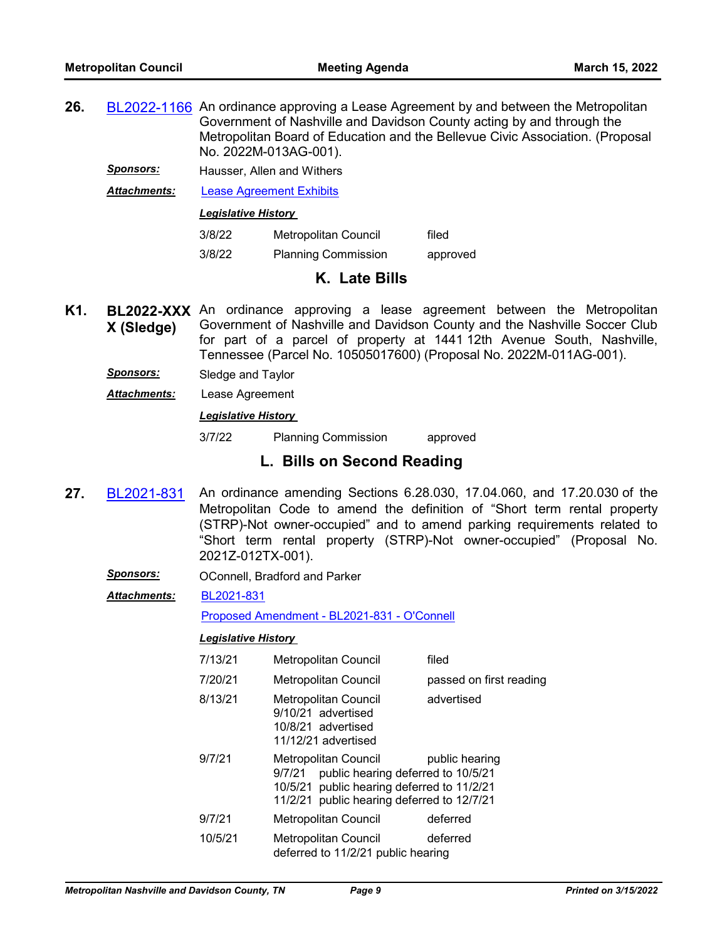- **26.** [BL2022-1166](http://nashville.legistar.com/gateway.aspx?m=l&id=/matter.aspx?key=14220) An ordinance approving a Lease Agreement by and between the Metropolitan Government of Nashville and Davidson County acting by and through the Metropolitan Board of Education and the Bellevue Civic Association. (Proposal No. 2022M-013AG-001).
	- *Sponsors:* Hausser, Allen and Withers

*Attachments:* [Lease Agreement Exhibits](http://nashville.legistar.com/gateway.aspx?M=F&ID=ed05bbcf-6c2f-4df6-9a1d-454c86a0e9e6.pdf)

*Legislative History* 

| 3/8/22 | Metropolitan Council       | filed    |
|--------|----------------------------|----------|
| 3/8/22 | <b>Planning Commission</b> | approved |

# **K. Late Bills**

- K1. **BL2022-XXX** An ordinance approving a lease agreement between the Metropolitan **X (Sledge)** Government of Nashville and Davidson County and the Nashville Soccer Club for part of a parcel of property at 1441 12th Avenue South, Nashville, Tennessee (Parcel No. 10505017600) (Proposal No. 2022M-011AG-001).
	- *Sponsors:* Sledge and Taylor
	- *Attachments:* Lease Agreement

### *Legislative History*

3/7/22 Planning Commission approved

# **L. Bills on Second Reading**

- **27.** [BL2021-831](http://nashville.legistar.com/gateway.aspx?m=l&id=/matter.aspx?key=13385) An ordinance amending Sections 6.28.030, 17.04.060, and 17.20.030 of the Metropolitan Code to amend the definition of "Short term rental property (STRP)-Not owner-occupied" and to amend parking requirements related to "Short term rental property (STRP)-Not owner-occupied" (Proposal No. 2021Z-012TX-001).
	- **Sponsors: OConnell, Bradford and Parker**
	- [BL2021-831](http://nashville.legistar.com/gateway.aspx?M=F&ID=49d963cd-8766-410a-8b99-94d76216ea0c.pdf) *Attachments:*

[Proposed Amendment - BL2021-831 - O'Connell](http://nashville.legistar.com/gateway.aspx?M=F&ID=7ca30744-2a91-4254-bd72-37259645f711.docx)

| 7/13/21 | <b>Metropolitan Council</b>                                                                                                                                      | filed                   |
|---------|------------------------------------------------------------------------------------------------------------------------------------------------------------------|-------------------------|
| 7/20/21 | <b>Metropolitan Council</b>                                                                                                                                      | passed on first reading |
| 8/13/21 | <b>Metropolitan Council</b><br>9/10/21 advertised<br>10/8/21 advertised<br>11/12/21 advertised                                                                   | advertised              |
| 9/7/21  | Metropolitan Council<br>public hearing deferred to 10/5/21<br>9/7/21<br>10/5/21 public hearing deferred to 11/2/21<br>11/2/21 public hearing deferred to 12/7/21 | public hearing          |
| 9/7/21  | <b>Metropolitan Council</b>                                                                                                                                      | deferred                |
| 10/5/21 | <b>Metropolitan Council</b><br>deferred to 11/2/21 public hearing                                                                                                | deferred                |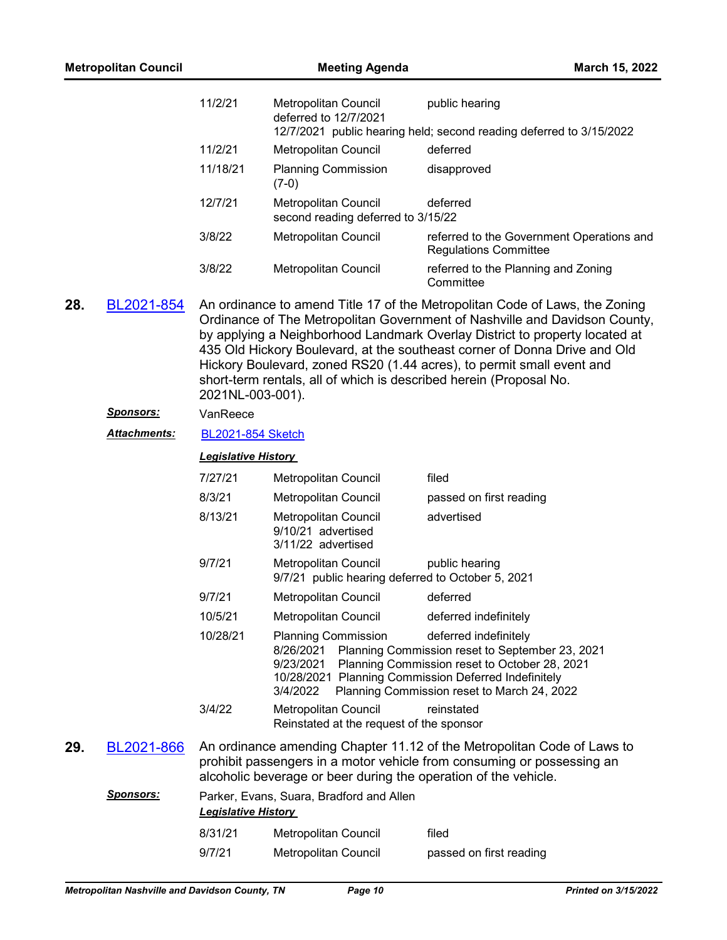| <b>Metropolitan Council</b> |                     | <b>Meeting Agenda</b>                                                                                                                                                                                                |                                                                           | March 15, 2022                                                                                                                                                                                                                                                                                                                                                                                                                                                       |
|-----------------------------|---------------------|----------------------------------------------------------------------------------------------------------------------------------------------------------------------------------------------------------------------|---------------------------------------------------------------------------|----------------------------------------------------------------------------------------------------------------------------------------------------------------------------------------------------------------------------------------------------------------------------------------------------------------------------------------------------------------------------------------------------------------------------------------------------------------------|
|                             |                     | 11/2/21                                                                                                                                                                                                              | Metropolitan Council<br>deferred to 12/7/2021                             | public hearing<br>12/7/2021 public hearing held; second reading deferred to 3/15/2022                                                                                                                                                                                                                                                                                                                                                                                |
|                             |                     | 11/2/21                                                                                                                                                                                                              | Metropolitan Council                                                      | deferred                                                                                                                                                                                                                                                                                                                                                                                                                                                             |
|                             |                     | 11/18/21                                                                                                                                                                                                             | <b>Planning Commission</b><br>$(7-0)$                                     | disapproved                                                                                                                                                                                                                                                                                                                                                                                                                                                          |
|                             |                     | 12/7/21                                                                                                                                                                                                              | Metropolitan Council<br>second reading deferred to 3/15/22                | deferred                                                                                                                                                                                                                                                                                                                                                                                                                                                             |
|                             |                     | 3/8/22                                                                                                                                                                                                               | Metropolitan Council                                                      | referred to the Government Operations and<br><b>Regulations Committee</b>                                                                                                                                                                                                                                                                                                                                                                                            |
|                             |                     | 3/8/22                                                                                                                                                                                                               | Metropolitan Council                                                      | referred to the Planning and Zoning<br>Committee                                                                                                                                                                                                                                                                                                                                                                                                                     |
| 28.                         | BL2021-854          | 2021NL-003-001).                                                                                                                                                                                                     |                                                                           | An ordinance to amend Title 17 of the Metropolitan Code of Laws, the Zoning<br>Ordinance of The Metropolitan Government of Nashville and Davidson County,<br>by applying a Neighborhood Landmark Overlay District to property located at<br>435 Old Hickory Boulevard, at the southeast corner of Donna Drive and Old<br>Hickory Boulevard, zoned RS20 (1.44 acres), to permit small event and<br>short-term rentals, all of which is described herein (Proposal No. |
|                             | <b>Sponsors:</b>    | VanReece                                                                                                                                                                                                             |                                                                           |                                                                                                                                                                                                                                                                                                                                                                                                                                                                      |
|                             | <b>Attachments:</b> | <b>BL2021-854 Sketch</b>                                                                                                                                                                                             |                                                                           |                                                                                                                                                                                                                                                                                                                                                                                                                                                                      |
|                             |                     | <b>Legislative History</b>                                                                                                                                                                                           |                                                                           |                                                                                                                                                                                                                                                                                                                                                                                                                                                                      |
|                             |                     | 7/27/21                                                                                                                                                                                                              | Metropolitan Council                                                      | filed                                                                                                                                                                                                                                                                                                                                                                                                                                                                |
|                             |                     | 8/3/21                                                                                                                                                                                                               | Metropolitan Council                                                      | passed on first reading                                                                                                                                                                                                                                                                                                                                                                                                                                              |
|                             |                     | 8/13/21                                                                                                                                                                                                              | Metropolitan Council<br>9/10/21 advertised<br>3/11/22 advertised          | advertised                                                                                                                                                                                                                                                                                                                                                                                                                                                           |
|                             |                     | 9/7/21                                                                                                                                                                                                               | Metropolitan Council<br>9/7/21 public hearing deferred to October 5, 2021 | public hearing                                                                                                                                                                                                                                                                                                                                                                                                                                                       |
|                             |                     | 9/7/21                                                                                                                                                                                                               | Metropolitan Council                                                      | deferred                                                                                                                                                                                                                                                                                                                                                                                                                                                             |
|                             |                     | 10/5/21                                                                                                                                                                                                              | Metropolitan Council                                                      | deferred indefinitely                                                                                                                                                                                                                                                                                                                                                                                                                                                |
|                             |                     | 10/28/21                                                                                                                                                                                                             | <b>Planning Commission</b><br>8/26/2021<br>9/23/2021<br>3/4/2022          | deferred indefinitely<br>Planning Commission reset to September 23, 2021<br>Planning Commission reset to October 28, 2021<br>10/28/2021 Planning Commission Deferred Indefinitely<br>Planning Commission reset to March 24, 2022                                                                                                                                                                                                                                     |
|                             |                     | 3/4/22                                                                                                                                                                                                               | Metropolitan Council<br>Reinstated at the request of the sponsor          | reinstated                                                                                                                                                                                                                                                                                                                                                                                                                                                           |
| 29.                         | BL2021-866          | An ordinance amending Chapter 11.12 of the Metropolitan Code of Laws to<br>prohibit passengers in a motor vehicle from consuming or possessing an<br>alcoholic beverage or beer during the operation of the vehicle. |                                                                           |                                                                                                                                                                                                                                                                                                                                                                                                                                                                      |
|                             | <u>Sponsors:</u>    |                                                                                                                                                                                                                      | Parker, Evans, Suara, Bradford and Allen                                  |                                                                                                                                                                                                                                                                                                                                                                                                                                                                      |
|                             |                     | <b>Legislative History</b>                                                                                                                                                                                           |                                                                           |                                                                                                                                                                                                                                                                                                                                                                                                                                                                      |
|                             |                     | 8/31/21                                                                                                                                                                                                              | Metropolitan Council                                                      | filed                                                                                                                                                                                                                                                                                                                                                                                                                                                                |
|                             |                     | 9/7/21                                                                                                                                                                                                               | Metropolitan Council                                                      | passed on first reading                                                                                                                                                                                                                                                                                                                                                                                                                                              |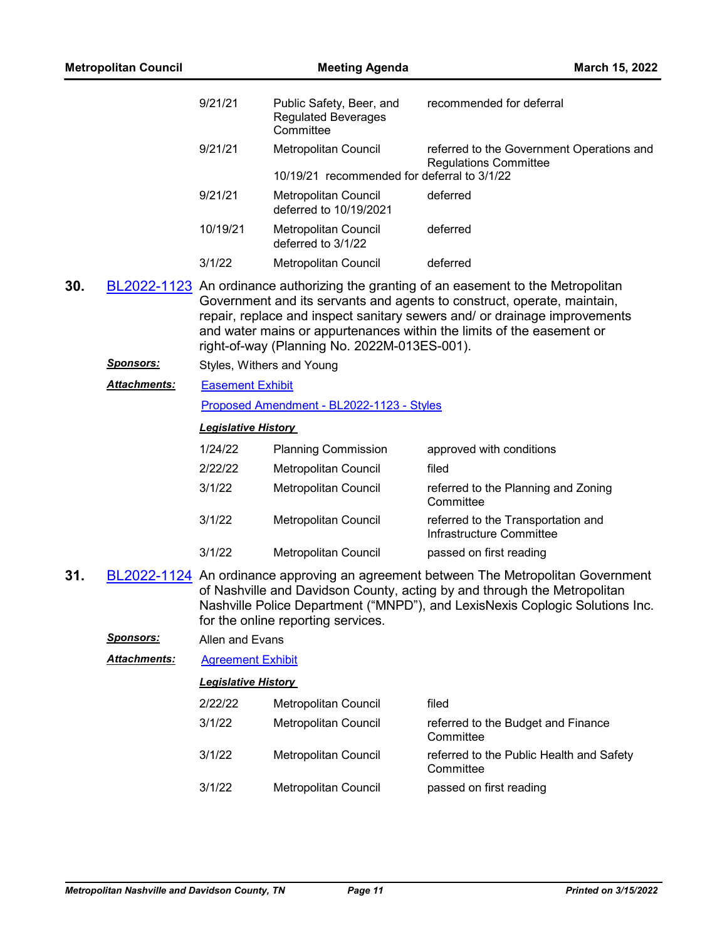| <b>Metropolitan Council</b> |                      |                            | March 15, 2022                                                      |                                                                                                                                                                                                                                                                                                                       |  |  |
|-----------------------------|----------------------|----------------------------|---------------------------------------------------------------------|-----------------------------------------------------------------------------------------------------------------------------------------------------------------------------------------------------------------------------------------------------------------------------------------------------------------------|--|--|
|                             |                      | 9/21/21                    | Public Safety, Beer, and<br><b>Regulated Beverages</b><br>Committee | recommended for deferral                                                                                                                                                                                                                                                                                              |  |  |
|                             |                      | 9/21/21                    | Metropolitan Council                                                | referred to the Government Operations and<br><b>Regulations Committee</b>                                                                                                                                                                                                                                             |  |  |
|                             |                      |                            | 10/19/21 recommended for deferral to 3/1/22                         |                                                                                                                                                                                                                                                                                                                       |  |  |
|                             |                      | 9/21/21                    | <b>Metropolitan Council</b><br>deferred to 10/19/2021               | deferred                                                                                                                                                                                                                                                                                                              |  |  |
|                             |                      | 10/19/21                   | Metropolitan Council<br>deferred to 3/1/22                          | deferred                                                                                                                                                                                                                                                                                                              |  |  |
|                             |                      | 3/1/22                     | Metropolitan Council                                                | deferred                                                                                                                                                                                                                                                                                                              |  |  |
| 30.                         |                      |                            | right-of-way (Planning No. 2022M-013ES-001).                        | BL2022-1123 An ordinance authorizing the granting of an easement to the Metropolitan<br>Government and its servants and agents to construct, operate, maintain,<br>repair, replace and inspect sanitary sewers and/ or drainage improvements<br>and water mains or appurtenances within the limits of the easement or |  |  |
|                             | <u>Sponsors:</u>     |                            | Styles, Withers and Young                                           |                                                                                                                                                                                                                                                                                                                       |  |  |
|                             | <u> Attachments:</u> | <b>Easement Exhibit</b>    |                                                                     |                                                                                                                                                                                                                                                                                                                       |  |  |
|                             |                      |                            | Proposed Amendment - BL2022-1123 - Styles                           |                                                                                                                                                                                                                                                                                                                       |  |  |
|                             |                      | <b>Legislative History</b> |                                                                     |                                                                                                                                                                                                                                                                                                                       |  |  |
|                             |                      | 1/24/22                    | <b>Planning Commission</b>                                          | approved with conditions                                                                                                                                                                                                                                                                                              |  |  |
|                             |                      | 2/22/22                    | Metropolitan Council                                                | filed                                                                                                                                                                                                                                                                                                                 |  |  |
|                             |                      | 3/1/22                     | Metropolitan Council                                                | referred to the Planning and Zoning<br>Committee                                                                                                                                                                                                                                                                      |  |  |
|                             |                      | 3/1/22                     | Metropolitan Council                                                | referred to the Transportation and<br>Infrastructure Committee                                                                                                                                                                                                                                                        |  |  |
|                             |                      | 3/1/22                     | Metropolitan Council                                                | passed on first reading                                                                                                                                                                                                                                                                                               |  |  |
| 31.                         |                      |                            | for the online reporting services.                                  | BL2022-1124 An ordinance approving an agreement between The Metropolitan Government<br>of Nashville and Davidson County, acting by and through the Metropolitan<br>Nashville Police Department ("MNPD"), and LexisNexis Coplogic Solutions Inc.                                                                       |  |  |
|                             | <b>Sponsors:</b>     | Allen and Evans            |                                                                     |                                                                                                                                                                                                                                                                                                                       |  |  |
|                             | Attachments:         | <b>Agreement Exhibit</b>   |                                                                     |                                                                                                                                                                                                                                                                                                                       |  |  |
|                             |                      | <b>Legislative History</b> |                                                                     |                                                                                                                                                                                                                                                                                                                       |  |  |
|                             |                      | 2/22/22                    | Metropolitan Council                                                | filed                                                                                                                                                                                                                                                                                                                 |  |  |
|                             |                      | 3/1/22                     | Metropolitan Council                                                | referred to the Budget and Finance<br>Committee                                                                                                                                                                                                                                                                       |  |  |
|                             |                      | 3/1/22                     | Metropolitan Council                                                | referred to the Public Health and Safety<br>Committee                                                                                                                                                                                                                                                                 |  |  |
|                             |                      | 3/1/22                     | Metropolitan Council                                                | passed on first reading                                                                                                                                                                                                                                                                                               |  |  |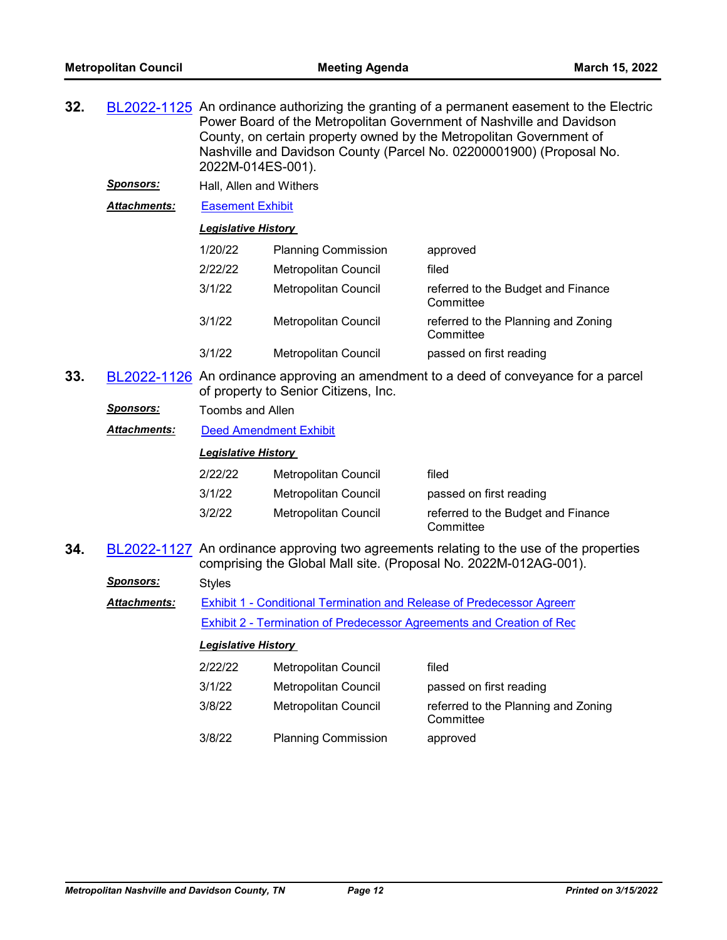| 32. |                     | 2022M-014ES-001).          |                            | BL2022-1125 An ordinance authorizing the granting of a permanent easement to the Electric<br>Power Board of the Metropolitan Government of Nashville and Davidson<br>County, on certain property owned by the Metropolitan Government of<br>Nashville and Davidson County (Parcel No. 02200001900) (Proposal No. |
|-----|---------------------|----------------------------|----------------------------|------------------------------------------------------------------------------------------------------------------------------------------------------------------------------------------------------------------------------------------------------------------------------------------------------------------|
|     | <b>Sponsors:</b>    | Hall, Allen and Withers    |                            |                                                                                                                                                                                                                                                                                                                  |
|     | <b>Attachments:</b> | <b>Easement Exhibit</b>    |                            |                                                                                                                                                                                                                                                                                                                  |
|     |                     | <b>Legislative History</b> |                            |                                                                                                                                                                                                                                                                                                                  |
|     |                     | 1/20/22                    | <b>Planning Commission</b> | approved                                                                                                                                                                                                                                                                                                         |
|     |                     | 2/22/22                    | Metropolitan Council       | filed                                                                                                                                                                                                                                                                                                            |
|     |                     | 3/1/22                     | Metropolitan Council       | referred to the Budget and Finance<br>Committee                                                                                                                                                                                                                                                                  |
|     |                     | 3/1/22                     | Metropolitan Council       | referred to the Planning and Zoning<br>Committee                                                                                                                                                                                                                                                                 |

- 3/1/22 Metropolitan Council passed on first reading
- **33.** [BL2022-1126](http://nashville.legistar.com/gateway.aspx?m=l&id=/matter.aspx?key=14153) An ordinance approving an amendment to a deed of conveyance for a parcel of property to Senior Citizens, Inc.
	- *Sponsors:* Toombs and Allen

*Attachments:* [Deed Amendment Exhibit](http://nashville.legistar.com/gateway.aspx?M=F&ID=c38cd3b6-06bd-479b-aef4-82d333524dbc.pdf)

#### *Legislative History*

| 2/22/22 | Metropolitan Council | filed                                           |
|---------|----------------------|-------------------------------------------------|
| 3/1/22  | Metropolitan Council | passed on first reading                         |
| 3/2/22  | Metropolitan Council | referred to the Budget and Finance<br>Committee |

**34.** [BL2022-1127](http://nashville.legistar.com/gateway.aspx?m=l&id=/matter.aspx?key=14205) An ordinance approving two agreements relating to the use of the properties comprising the Global Mall site. (Proposal No. 2022M-012AG-001).

| <b>Sponsors:</b>    | <b>Styles</b>              |                                                                       |                         |  |
|---------------------|----------------------------|-----------------------------------------------------------------------|-------------------------|--|
| <b>Attachments:</b> |                            | Exhibit 1 - Conditional Termination and Release of Predecessor Agreem |                         |  |
|                     |                            | Exhibit 2 - Termination of Predecessor Agreements and Creation of Rec |                         |  |
|                     | <b>Legislative History</b> |                                                                       |                         |  |
|                     | 2/22/22                    | Metropolitan Council                                                  | filed                   |  |
|                     | 3/1/22                     | Metropolitan Council                                                  | passed on first reading |  |

3/8/22 Metropolitan Council referred to the Planning and Zoning **Committee** 3/8/22 Planning Commission approved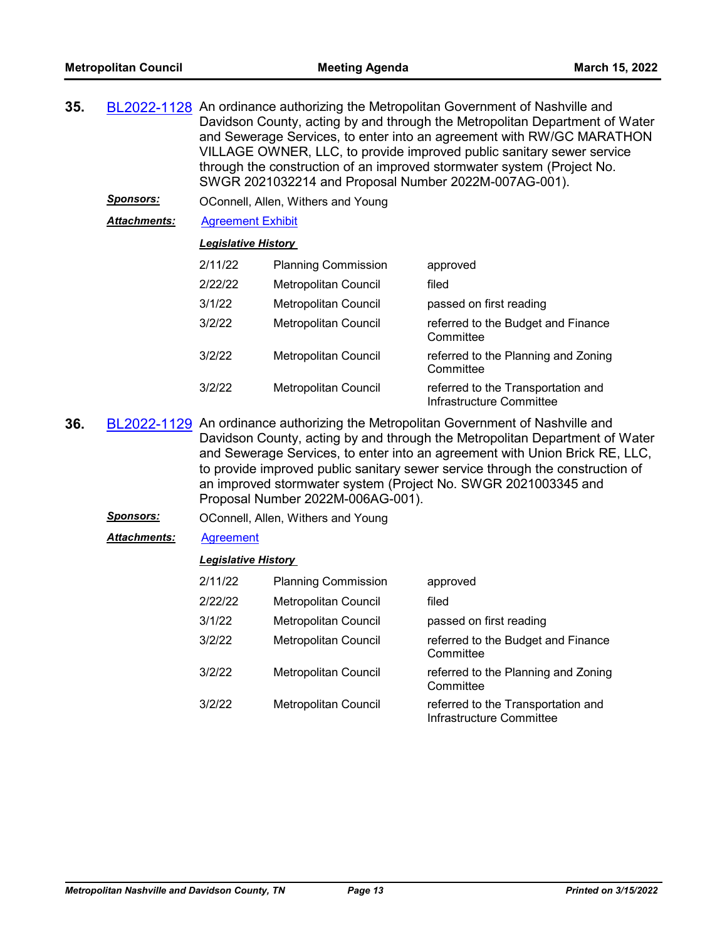| 35. | BL2022-1128 An ordinance authorizing the Metropolitan Government of Nashville and |
|-----|-----------------------------------------------------------------------------------|
|     | Davidson County, acting by and through the Metropolitan Department of Water       |
|     | and Sewerage Services, to enter into an agreement with RW/GC MARATHON             |
|     | VILLAGE OWNER, LLC, to provide improved public sanitary sewer service             |
|     | through the construction of an improved stormwater system (Project No.            |
|     | SWGR 2021032214 and Proposal Number 2022M-007AG-001).                             |
|     |                                                                                   |

*Sponsors:* OConnell, Allen, Withers and Young

*Attachments:* [Agreement Exhibit](http://nashville.legistar.com/gateway.aspx?M=F&ID=536b5238-780a-4154-ab10-a7da6a942411.pdf)

#### *Legislative History*

| 2/11/22 | <b>Planning Commission</b>  | approved                                                       |
|---------|-----------------------------|----------------------------------------------------------------|
| 2/22/22 | <b>Metropolitan Council</b> | filed                                                          |
| 3/1/22  | <b>Metropolitan Council</b> | passed on first reading                                        |
| 3/2/22  | <b>Metropolitan Council</b> | referred to the Budget and Finance<br>Committee                |
| 3/2/22  | <b>Metropolitan Council</b> | referred to the Planning and Zoning<br>Committee               |
| 3/2/22  | <b>Metropolitan Council</b> | referred to the Transportation and<br>Infrastructure Committee |

- **36.** [BL2022-1129](http://nashville.legistar.com/gateway.aspx?m=l&id=/matter.aspx?key=14195) An ordinance authorizing the Metropolitan Government of Nashville and Davidson County, acting by and through the Metropolitan Department of Water and Sewerage Services, to enter into an agreement with Union Brick RE, LLC, to provide improved public sanitary sewer service through the construction of an improved stormwater system (Project No. SWGR 2021003345 and Proposal Number 2022M-006AG-001).
	- *Sponsors:* OConnell, Allen, Withers and Young
	- *Attachments:* [Agreement](http://nashville.legistar.com/gateway.aspx?M=F&ID=67be2ee6-0b94-4dbe-87b4-bb689a65be6b.pdf)

| 2/11/22 | <b>Planning Commission</b>  | approved                                                       |
|---------|-----------------------------|----------------------------------------------------------------|
| 2/22/22 | <b>Metropolitan Council</b> | filed                                                          |
| 3/1/22  | <b>Metropolitan Council</b> | passed on first reading                                        |
| 3/2/22  | Metropolitan Council        | referred to the Budget and Finance<br>Committee                |
| 3/2/22  | <b>Metropolitan Council</b> | referred to the Planning and Zoning<br>Committee               |
| 3/2/22  | <b>Metropolitan Council</b> | referred to the Transportation and<br>Infrastructure Committee |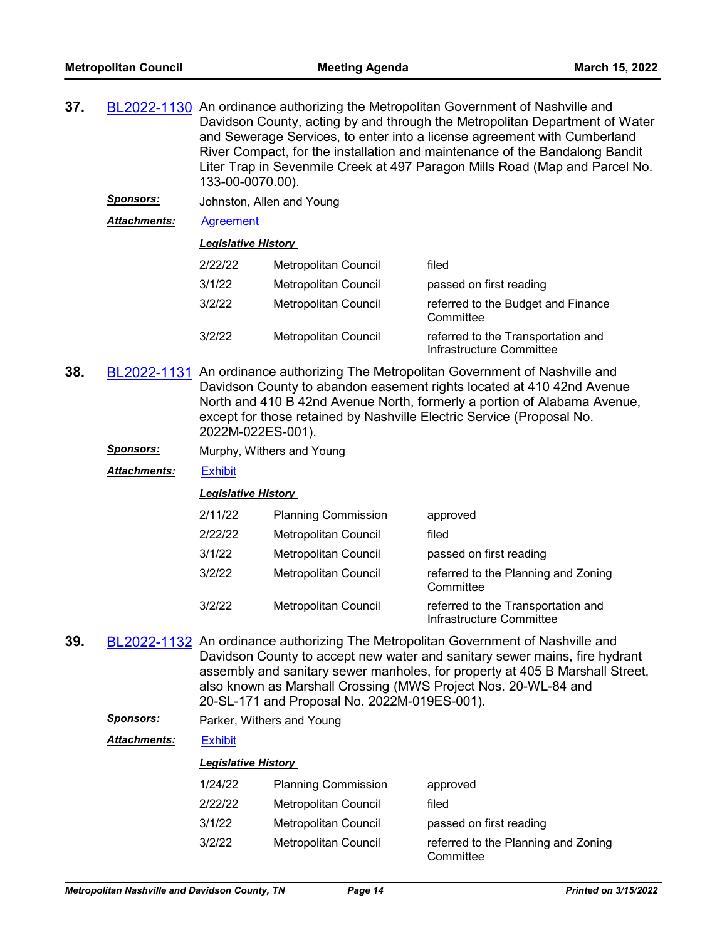**37.** [BL2022-1130](http://nashville.legistar.com/gateway.aspx?m=l&id=/matter.aspx?key=14164) An ordinance authorizing the Metropolitan Government of Nashville and Davidson County, acting by and through the Metropolitan Department of Water and Sewerage Services, to enter into a license agreement with Cumberland River Compact, for the installation and maintenance of the Bandalong Bandit Liter Trap in Sevenmile Creek at 497 Paragon Mills Road (Map and Parcel No. 133-00-0070.00).

*Sponsors:* Johnston, Allen and Young

*Attachments:* [Agreement](http://nashville.legistar.com/gateway.aspx?M=F&ID=898db167-f06b-406f-92cf-2d151a278ec9.pdf)

#### *Legislative History*

| 2/22/22 | Metropolitan Council        | filed                                                          |
|---------|-----------------------------|----------------------------------------------------------------|
| 3/1/22  | Metropolitan Council        | passed on first reading                                        |
| 3/2/22  | Metropolitan Council        | referred to the Budget and Finance<br>Committee                |
| 3/2/22  | <b>Metropolitan Council</b> | referred to the Transportation and<br>Infrastructure Committee |

- **38.** [BL2022-1131](http://nashville.legistar.com/gateway.aspx?m=l&id=/matter.aspx?key=14166) An ordinance authorizing The Metropolitan Government of Nashville and Davidson County to abandon easement rights located at 410 42nd Avenue North and 410 B 42nd Avenue North, formerly a portion of Alabama Avenue, except for those retained by Nashville Electric Service (Proposal No. 2022M-022ES-001).
	- *Sponsors:* Murphy, Withers and Young

*Attachments:* [Exhibit](http://nashville.legistar.com/gateway.aspx?M=F&ID=6a3f659b-9c87-4b99-81a8-172d3a018127.pdf)

#### *Legislative History*

| 2/11/22 | <b>Planning Commission</b>  | approved                                                       |
|---------|-----------------------------|----------------------------------------------------------------|
| 2/22/22 | <b>Metropolitan Council</b> | filed                                                          |
| 3/1/22  | <b>Metropolitan Council</b> | passed on first reading                                        |
| 3/2/22  | <b>Metropolitan Council</b> | referred to the Planning and Zoning<br>Committee               |
| 3/2/22  | <b>Metropolitan Council</b> | referred to the Transportation and<br>Infrastructure Committee |

**39.** [BL2022-1132](http://nashville.legistar.com/gateway.aspx?m=l&id=/matter.aspx?key=14155) An ordinance authorizing The Metropolitan Government of Nashville and Davidson County to accept new water and sanitary sewer mains, fire hydrant assembly and sanitary sewer manholes, for property at 405 B Marshall Street, also known as Marshall Crossing (MWS Project Nos. 20-WL-84 and 20-SL-171 and Proposal No. 2022M-019ES-001).

*Sponsors:* Parker, Withers and Young

*Attachments:* [Exhibit](http://nashville.legistar.com/gateway.aspx?M=F&ID=931d9409-1e72-4696-b460-af2c8ded8f28.pdf)

| 1/24/22 | <b>Planning Commission</b>  | approved                                         |
|---------|-----------------------------|--------------------------------------------------|
| 2/22/22 | Metropolitan Council        | filed                                            |
| 3/1/22  | <b>Metropolitan Council</b> | passed on first reading                          |
| 3/2/22  | Metropolitan Council        | referred to the Planning and Zoning<br>Committee |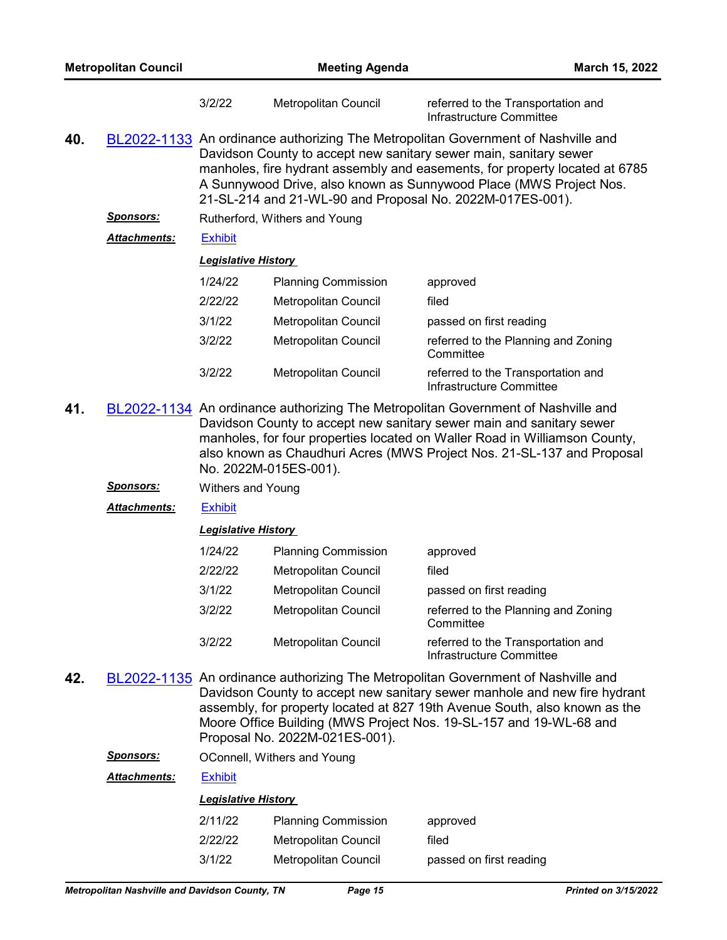| <b>Metropolitan Council</b> |                     | <b>Meeting Agenda</b>                                                                                                                                                                                                                                                                                                                                                    |                                                                                                                                                                                                                                                                                                                                            | March 15, 2022                                                                                                                                                                                                                                                                                                     |  |  |
|-----------------------------|---------------------|--------------------------------------------------------------------------------------------------------------------------------------------------------------------------------------------------------------------------------------------------------------------------------------------------------------------------------------------------------------------------|--------------------------------------------------------------------------------------------------------------------------------------------------------------------------------------------------------------------------------------------------------------------------------------------------------------------------------------------|--------------------------------------------------------------------------------------------------------------------------------------------------------------------------------------------------------------------------------------------------------------------------------------------------------------------|--|--|
|                             |                     | 3/2/22                                                                                                                                                                                                                                                                                                                                                                   | Metropolitan Council                                                                                                                                                                                                                                                                                                                       | referred to the Transportation and<br>Infrastructure Committee                                                                                                                                                                                                                                                     |  |  |
| 40.                         |                     | BL2022-1133 An ordinance authorizing The Metropolitan Government of Nashville and<br>Davidson County to accept new sanitary sewer main, sanitary sewer<br>manholes, fire hydrant assembly and easements, for property located at 6785<br>A Sunnywood Drive, also known as Sunnywood Place (MWS Project Nos.<br>21-SL-214 and 21-WL-90 and Proposal No. 2022M-017ES-001). |                                                                                                                                                                                                                                                                                                                                            |                                                                                                                                                                                                                                                                                                                    |  |  |
|                             | <u>Sponsors:</u>    |                                                                                                                                                                                                                                                                                                                                                                          | Rutherford, Withers and Young                                                                                                                                                                                                                                                                                                              |                                                                                                                                                                                                                                                                                                                    |  |  |
|                             | Attachments:        | <b>Exhibit</b>                                                                                                                                                                                                                                                                                                                                                           |                                                                                                                                                                                                                                                                                                                                            |                                                                                                                                                                                                                                                                                                                    |  |  |
|                             |                     | <b>Legislative History</b>                                                                                                                                                                                                                                                                                                                                               |                                                                                                                                                                                                                                                                                                                                            |                                                                                                                                                                                                                                                                                                                    |  |  |
|                             |                     | 1/24/22                                                                                                                                                                                                                                                                                                                                                                  | <b>Planning Commission</b>                                                                                                                                                                                                                                                                                                                 | approved                                                                                                                                                                                                                                                                                                           |  |  |
|                             |                     | 2/22/22                                                                                                                                                                                                                                                                                                                                                                  | Metropolitan Council                                                                                                                                                                                                                                                                                                                       | filed                                                                                                                                                                                                                                                                                                              |  |  |
|                             |                     | 3/1/22                                                                                                                                                                                                                                                                                                                                                                   | Metropolitan Council                                                                                                                                                                                                                                                                                                                       | passed on first reading                                                                                                                                                                                                                                                                                            |  |  |
|                             |                     | 3/2/22                                                                                                                                                                                                                                                                                                                                                                   | Metropolitan Council                                                                                                                                                                                                                                                                                                                       | referred to the Planning and Zoning<br>Committee                                                                                                                                                                                                                                                                   |  |  |
|                             |                     | 3/2/22                                                                                                                                                                                                                                                                                                                                                                   | Metropolitan Council                                                                                                                                                                                                                                                                                                                       | referred to the Transportation and<br>Infrastructure Committee                                                                                                                                                                                                                                                     |  |  |
| 41.                         |                     |                                                                                                                                                                                                                                                                                                                                                                          | BL2022-1134 An ordinance authorizing The Metropolitan Government of Nashville and<br>Davidson County to accept new sanitary sewer main and sanitary sewer<br>manholes, for four properties located on Waller Road in Williamson County,<br>also known as Chaudhuri Acres (MWS Project Nos. 21-SL-137 and Proposal<br>No. 2022M-015ES-001). |                                                                                                                                                                                                                                                                                                                    |  |  |
|                             | <u> Sponsors:</u>   | <b>Withers and Young</b>                                                                                                                                                                                                                                                                                                                                                 |                                                                                                                                                                                                                                                                                                                                            |                                                                                                                                                                                                                                                                                                                    |  |  |
|                             | <b>Attachments:</b> | <b>Exhibit</b>                                                                                                                                                                                                                                                                                                                                                           |                                                                                                                                                                                                                                                                                                                                            |                                                                                                                                                                                                                                                                                                                    |  |  |
|                             |                     | <b>Legislative History</b>                                                                                                                                                                                                                                                                                                                                               |                                                                                                                                                                                                                                                                                                                                            |                                                                                                                                                                                                                                                                                                                    |  |  |
|                             |                     | 1/24/22                                                                                                                                                                                                                                                                                                                                                                  | <b>Planning Commission</b>                                                                                                                                                                                                                                                                                                                 | approved                                                                                                                                                                                                                                                                                                           |  |  |
|                             |                     | 2/22/22                                                                                                                                                                                                                                                                                                                                                                  | Metropolitan Council                                                                                                                                                                                                                                                                                                                       | filed                                                                                                                                                                                                                                                                                                              |  |  |
|                             |                     | 3/1/22                                                                                                                                                                                                                                                                                                                                                                   | Metropolitan Council                                                                                                                                                                                                                                                                                                                       | passed on first reading                                                                                                                                                                                                                                                                                            |  |  |
|                             |                     | 3/2/22                                                                                                                                                                                                                                                                                                                                                                   | Metropolitan Council                                                                                                                                                                                                                                                                                                                       | referred to the Planning and Zoning<br>Committee                                                                                                                                                                                                                                                                   |  |  |
|                             |                     | 3/2/22                                                                                                                                                                                                                                                                                                                                                                   | Metropolitan Council                                                                                                                                                                                                                                                                                                                       | referred to the Transportation and<br>Infrastructure Committee                                                                                                                                                                                                                                                     |  |  |
| 42.                         |                     |                                                                                                                                                                                                                                                                                                                                                                          | Proposal No. 2022M-021ES-001).                                                                                                                                                                                                                                                                                                             | BL2022-1135 An ordinance authorizing The Metropolitan Government of Nashville and<br>Davidson County to accept new sanitary sewer manhole and new fire hydrant<br>assembly, for property located at 827 19th Avenue South, also known as the<br>Moore Office Building (MWS Project Nos. 19-SL-157 and 19-WL-68 and |  |  |
|                             | <u>Sponsors:</u>    |                                                                                                                                                                                                                                                                                                                                                                          | OConnell, Withers and Young                                                                                                                                                                                                                                                                                                                |                                                                                                                                                                                                                                                                                                                    |  |  |
|                             | Attachments:        | <b>Exhibit</b>                                                                                                                                                                                                                                                                                                                                                           |                                                                                                                                                                                                                                                                                                                                            |                                                                                                                                                                                                                                                                                                                    |  |  |
|                             |                     | <b>Legislative History</b>                                                                                                                                                                                                                                                                                                                                               |                                                                                                                                                                                                                                                                                                                                            |                                                                                                                                                                                                                                                                                                                    |  |  |
|                             |                     | 2/11/22                                                                                                                                                                                                                                                                                                                                                                  | <b>Planning Commission</b>                                                                                                                                                                                                                                                                                                                 | approved                                                                                                                                                                                                                                                                                                           |  |  |
|                             |                     | 2/22/22                                                                                                                                                                                                                                                                                                                                                                  | Metropolitan Council                                                                                                                                                                                                                                                                                                                       | filed                                                                                                                                                                                                                                                                                                              |  |  |
|                             |                     | 3/1/22                                                                                                                                                                                                                                                                                                                                                                   | Metropolitan Council                                                                                                                                                                                                                                                                                                                       | passed on first reading                                                                                                                                                                                                                                                                                            |  |  |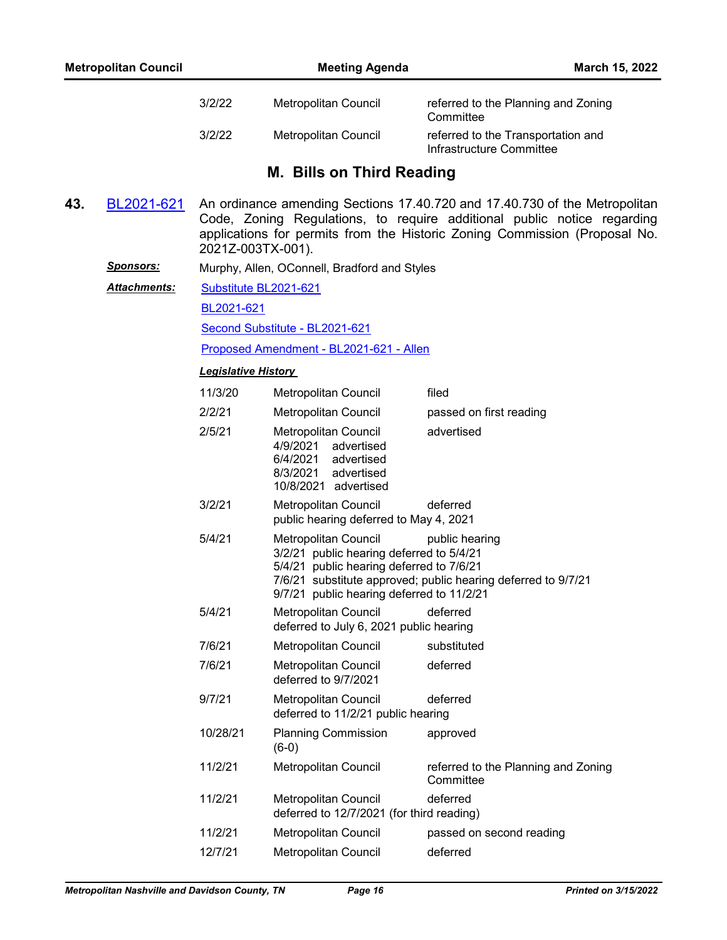|     |                  | 3/2/22                     | Metropolitan Council                                                                                                                                      | referred to the Planning and Zoning<br>Committee                                                                                                                                                                                    |
|-----|------------------|----------------------------|-----------------------------------------------------------------------------------------------------------------------------------------------------------|-------------------------------------------------------------------------------------------------------------------------------------------------------------------------------------------------------------------------------------|
|     |                  | 3/2/22                     | Metropolitan Council                                                                                                                                      | referred to the Transportation and<br>Infrastructure Committee                                                                                                                                                                      |
|     |                  |                            | M. Bills on Third Reading                                                                                                                                 |                                                                                                                                                                                                                                     |
| 43. | BL2021-621       | 2021Z-003TX-001).          |                                                                                                                                                           | An ordinance amending Sections 17.40.720 and 17.40.730 of the Metropolitan<br>Code, Zoning Regulations, to require additional public notice regarding<br>applications for permits from the Historic Zoning Commission (Proposal No. |
|     | <u>Sponsors:</u> |                            | Murphy, Allen, OConnell, Bradford and Styles                                                                                                              |                                                                                                                                                                                                                                     |
|     | Attachments:     | Substitute BL2021-621      |                                                                                                                                                           |                                                                                                                                                                                                                                     |
|     |                  | BL2021-621                 |                                                                                                                                                           |                                                                                                                                                                                                                                     |
|     |                  |                            | Second Substitute - BL2021-621                                                                                                                            |                                                                                                                                                                                                                                     |
|     |                  |                            | Proposed Amendment - BL2021-621 - Allen                                                                                                                   |                                                                                                                                                                                                                                     |
|     |                  | <b>Legislative History</b> |                                                                                                                                                           |                                                                                                                                                                                                                                     |
|     |                  | 11/3/20                    | <b>Metropolitan Council</b>                                                                                                                               | filed                                                                                                                                                                                                                               |
|     |                  | 2/2/21                     | Metropolitan Council                                                                                                                                      | passed on first reading                                                                                                                                                                                                             |
|     |                  | 2/5/21                     | Metropolitan Council<br>4/9/2021 advertised<br>6/4/2021 advertised<br>8/3/2021<br>advertised<br>10/8/2021 advertised                                      | advertised                                                                                                                                                                                                                          |
|     |                  | 3/2/21                     | Metropolitan Council<br>public hearing deferred to May 4, 2021                                                                                            | deferred                                                                                                                                                                                                                            |
|     |                  | 5/4/21                     | Metropolitan Council<br>3/2/21 public hearing deferred to 5/4/21<br>5/4/21 public hearing deferred to 7/6/21<br>9/7/21 public hearing deferred to 11/2/21 | public hearing<br>7/6/21 substitute approved; public hearing deferred to 9/7/21                                                                                                                                                     |
|     |                  | 5/4/21                     | Metropolitan Council<br>deferred to July 6, 2021 public hearing                                                                                           | deferred                                                                                                                                                                                                                            |
|     |                  | 7/6/21                     | Metropolitan Council                                                                                                                                      | substituted                                                                                                                                                                                                                         |
|     |                  | 7/6/21                     | Metropolitan Council<br>deferred to 9/7/2021                                                                                                              | deferred                                                                                                                                                                                                                            |
|     |                  | 9/7/21                     | Metropolitan Council<br>deferred to 11/2/21 public hearing                                                                                                | deferred                                                                                                                                                                                                                            |
|     |                  | 10/28/21                   | <b>Planning Commission</b><br>$(6-0)$                                                                                                                     | approved                                                                                                                                                                                                                            |
|     |                  | 11/2/21                    | <b>Metropolitan Council</b>                                                                                                                               | referred to the Planning and Zoning<br>Committee                                                                                                                                                                                    |
|     |                  | 11/2/21                    | Metropolitan Council<br>deferred to 12/7/2021 (for third reading)                                                                                         | deferred                                                                                                                                                                                                                            |
|     |                  | 11/2/21                    | Metropolitan Council                                                                                                                                      | passed on second reading                                                                                                                                                                                                            |
|     |                  | 12/7/21                    | Metropolitan Council                                                                                                                                      | deferred                                                                                                                                                                                                                            |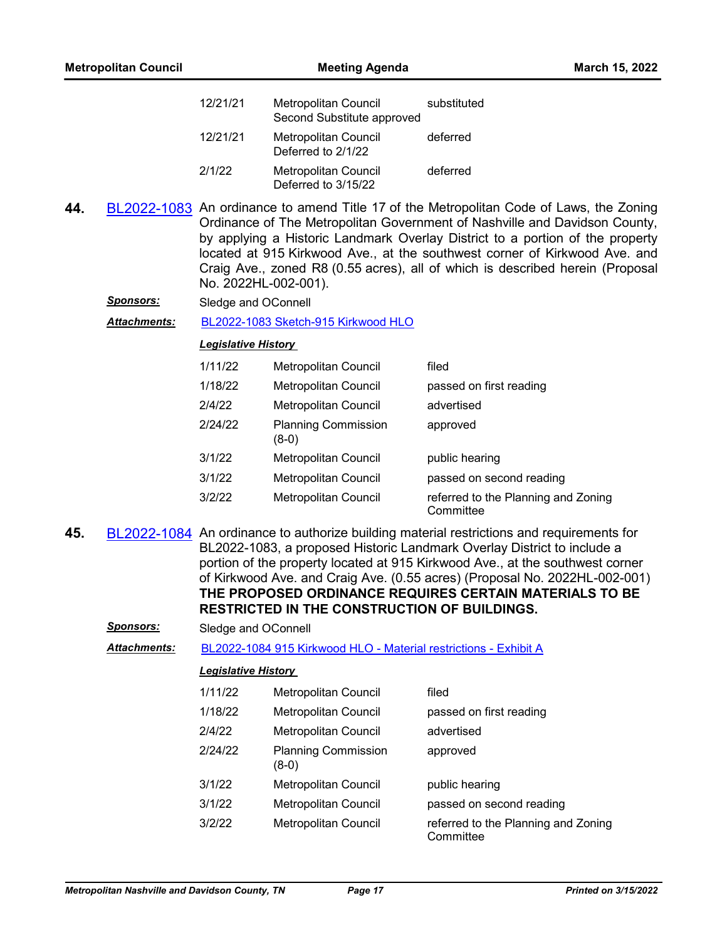| <b>Metropolitan Council</b> |              | <b>Meeting Agenda</b>      |                                                    | March 15, 2022                                                                                                                                                                                                                                                                                                                                                                                                        |
|-----------------------------|--------------|----------------------------|----------------------------------------------------|-----------------------------------------------------------------------------------------------------------------------------------------------------------------------------------------------------------------------------------------------------------------------------------------------------------------------------------------------------------------------------------------------------------------------|
|                             |              | 12/21/21                   | Metropolitan Council<br>Second Substitute approved | substituted                                                                                                                                                                                                                                                                                                                                                                                                           |
|                             |              | 12/21/21                   | Metropolitan Council<br>Deferred to 2/1/22         | deferred                                                                                                                                                                                                                                                                                                                                                                                                              |
|                             |              | 2/1/22                     | <b>Metropolitan Council</b><br>Deferred to 3/15/22 | deferred                                                                                                                                                                                                                                                                                                                                                                                                              |
| 44.                         |              | No. 2022HL-002-001).       |                                                    | BL2022-1083 An ordinance to amend Title 17 of the Metropolitan Code of Laws, the Zoning<br>Ordinance of The Metropolitan Government of Nashville and Davidson County,<br>by applying a Historic Landmark Overlay District to a portion of the property<br>located at 915 Kirkwood Ave., at the southwest corner of Kirkwood Ave. and<br>Craig Ave., zoned R8 (0.55 acres), all of which is described herein (Proposal |
|                             | Sponsors:    | Sledge and OConnell        |                                                    |                                                                                                                                                                                                                                                                                                                                                                                                                       |
|                             | Attachments: |                            | BL2022-1083 Sketch-915 Kirkwood HLO                |                                                                                                                                                                                                                                                                                                                                                                                                                       |
|                             |              | <b>Legislative History</b> |                                                    |                                                                                                                                                                                                                                                                                                                                                                                                                       |
|                             |              | 1/11/22                    | Metropolitan Council                               | filed                                                                                                                                                                                                                                                                                                                                                                                                                 |
|                             |              | 1/18/22                    | Metropolitan Council                               | passed on first reading                                                                                                                                                                                                                                                                                                                                                                                               |
|                             |              | 2/4/22                     | Metropolitan Council                               | advertised                                                                                                                                                                                                                                                                                                                                                                                                            |
|                             |              | 2/24/22                    | <b>Planning Commission</b><br>$(8-0)$              | approved                                                                                                                                                                                                                                                                                                                                                                                                              |
|                             |              | 3/1/22                     | Metropolitan Council                               | public hearing                                                                                                                                                                                                                                                                                                                                                                                                        |
|                             |              | 3/1/22                     | Metropolitan Council                               | passed on second reading                                                                                                                                                                                                                                                                                                                                                                                              |
|                             |              | 3/2/22                     | Metropolitan Council                               | referred to the Planning and Zoning<br>Committee                                                                                                                                                                                                                                                                                                                                                                      |
| 45.                         |              |                            | RESTRICTED IN THE CONSTRUCTION OF BUILDINGS.       | BL2022-1084 An ordinance to authorize building material restrictions and requirements for<br>BL2022-1083, a proposed Historic Landmark Overlay District to include a<br>portion of the property located at 915 Kirkwood Ave., at the southwest corner<br>of Kirkwood Ave. and Craig Ave. (0.55 acres) (Proposal No. 2022HL-002-001)<br>THE PROPOSED ORDINANCE REQUIRES CERTAIN MATERIALS TO BE                        |

| Sledge and OConnell |
|---------------------|
|                     |

*Attachments:* [BL2022-1084 915 Kirkwood HLO - Material restrictions - Exhibit A](http://nashville.legistar.com/gateway.aspx?M=F&ID=c3e70751-5d78-4eb7-a54e-4a40c07b2e73.pdf)

| 1/11/22 | Metropolitan Council                  | filed                                            |
|---------|---------------------------------------|--------------------------------------------------|
| 1/18/22 | <b>Metropolitan Council</b>           | passed on first reading                          |
| 2/4/22  | <b>Metropolitan Council</b>           | advertised                                       |
| 2/24/22 | <b>Planning Commission</b><br>$(8-0)$ | approved                                         |
| 3/1/22  | Metropolitan Council                  | public hearing                                   |
| 3/1/22  | <b>Metropolitan Council</b>           | passed on second reading                         |
| 3/2/22  | Metropolitan Council                  | referred to the Planning and Zoning<br>Committee |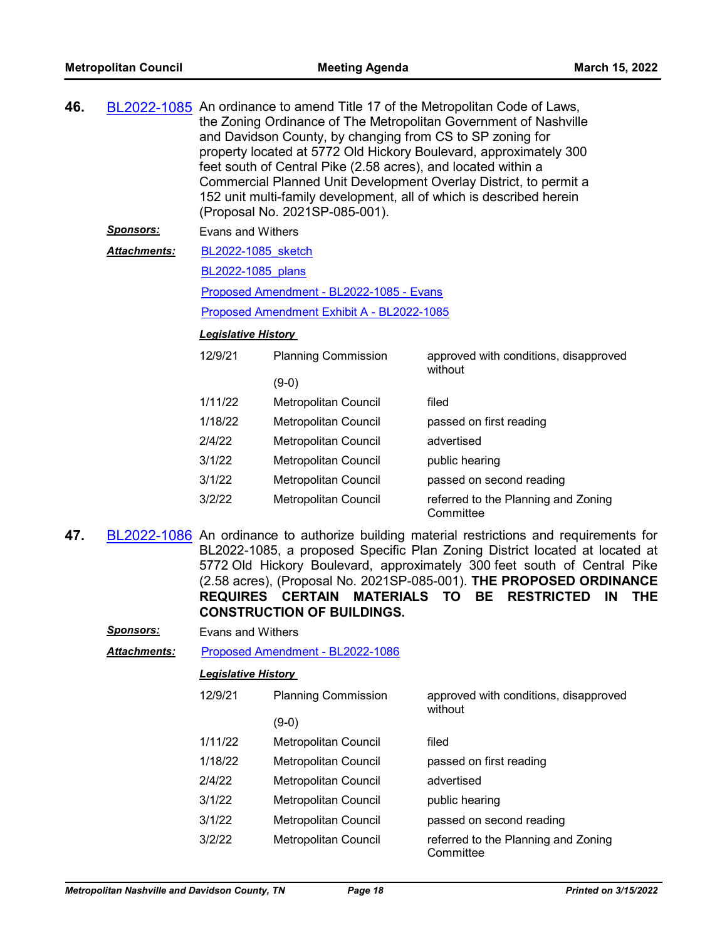| 46. |                      | BL2022-1085 An ordinance to amend Title 17 of the Metropolitan Code of Laws,<br>the Zoning Ordinance of The Metropolitan Government of Nashville<br>and Davidson County, by changing from CS to SP zoning for<br>property located at 5772 Old Hickory Boulevard, approximately 300<br>feet south of Central Pike (2.58 acres), and located within a<br>Commercial Planned Unit Development Overlay District, to permit a<br>152 unit multi-family development, all of which is described herein<br>(Proposal No. 2021SP-085-001). |                             |                                                                                          |  |
|-----|----------------------|-----------------------------------------------------------------------------------------------------------------------------------------------------------------------------------------------------------------------------------------------------------------------------------------------------------------------------------------------------------------------------------------------------------------------------------------------------------------------------------------------------------------------------------|-----------------------------|------------------------------------------------------------------------------------------|--|
|     | <b>Sponsors:</b>     | Evans and Withers                                                                                                                                                                                                                                                                                                                                                                                                                                                                                                                 |                             |                                                                                          |  |
|     | <u> Attachments:</u> | BL2022-1085 sketch                                                                                                                                                                                                                                                                                                                                                                                                                                                                                                                |                             |                                                                                          |  |
|     |                      | BL2022-1085 plans                                                                                                                                                                                                                                                                                                                                                                                                                                                                                                                 |                             |                                                                                          |  |
|     |                      | Proposed Amendment - BL2022-1085 - Evans                                                                                                                                                                                                                                                                                                                                                                                                                                                                                          |                             |                                                                                          |  |
|     |                      | Proposed Amendment Exhibit A - BL2022-1085                                                                                                                                                                                                                                                                                                                                                                                                                                                                                        |                             |                                                                                          |  |
|     |                      | <b>Legislative History</b>                                                                                                                                                                                                                                                                                                                                                                                                                                                                                                        |                             |                                                                                          |  |
|     |                      | 12/9/21                                                                                                                                                                                                                                                                                                                                                                                                                                                                                                                           | <b>Planning Commission</b>  | approved with conditions, disapproved<br>without                                         |  |
|     |                      |                                                                                                                                                                                                                                                                                                                                                                                                                                                                                                                                   | $(9-0)$                     |                                                                                          |  |
|     |                      | 1/11/22                                                                                                                                                                                                                                                                                                                                                                                                                                                                                                                           | Metropolitan Council        | filed                                                                                    |  |
|     |                      | 1/18/22                                                                                                                                                                                                                                                                                                                                                                                                                                                                                                                           | <b>Metropolitan Council</b> | passed on first reading                                                                  |  |
|     |                      | 2/4/22                                                                                                                                                                                                                                                                                                                                                                                                                                                                                                                            | <b>Metropolitan Council</b> | advertised                                                                               |  |
|     |                      | 3/1/22                                                                                                                                                                                                                                                                                                                                                                                                                                                                                                                            | <b>Metropolitan Council</b> | public hearing                                                                           |  |
|     |                      | 3/1/22                                                                                                                                                                                                                                                                                                                                                                                                                                                                                                                            | <b>Metropolitan Council</b> | passed on second reading                                                                 |  |
|     |                      | 3/2/22                                                                                                                                                                                                                                                                                                                                                                                                                                                                                                                            | <b>Metropolitan Council</b> | referred to the Planning and Zoning<br>Committee                                         |  |
| 47. |                      |                                                                                                                                                                                                                                                                                                                                                                                                                                                                                                                                   |                             | BL2022-1086 An ordinance to authorize building material restrictions and requirements fo |  |

building material restrictions and requirements for BL2022-1085, a proposed Specific Plan Zoning District located at located at 5772 Old Hickory Boulevard, approximately 300 feet south of Central Pike (2.58 acres), (Proposal No. 2021SP-085-001). **THE PROPOSED ORDINANCE REQUIRES CERTAIN MATERIALS TO BE RESTRICTED IN THE CONSTRUCTION OF BUILDINGS.**

| <b>Sponsors:</b> | Evans and Withers |
|------------------|-------------------|
|------------------|-------------------|

*Attachments:* [Proposed Amendment - BL2022-1086](http://nashville.legistar.com/gateway.aspx?M=F&ID=f9c578aa-36a2-41f0-995c-73f37c95d58b.docx)

| 12/9/21 | <b>Planning Commission</b> | approved with conditions, disapproved<br>without |
|---------|----------------------------|--------------------------------------------------|
|         | (9-0)                      |                                                  |
| 1/11/22 | Metropolitan Council       | filed                                            |
| 1/18/22 | Metropolitan Council       | passed on first reading                          |
| 2/4/22  | Metropolitan Council       | advertised                                       |
| 3/1/22  | Metropolitan Council       | public hearing                                   |
| 3/1/22  | Metropolitan Council       | passed on second reading                         |
| 3/2/22  | Metropolitan Council       | referred to the Planning and Zoning<br>Committee |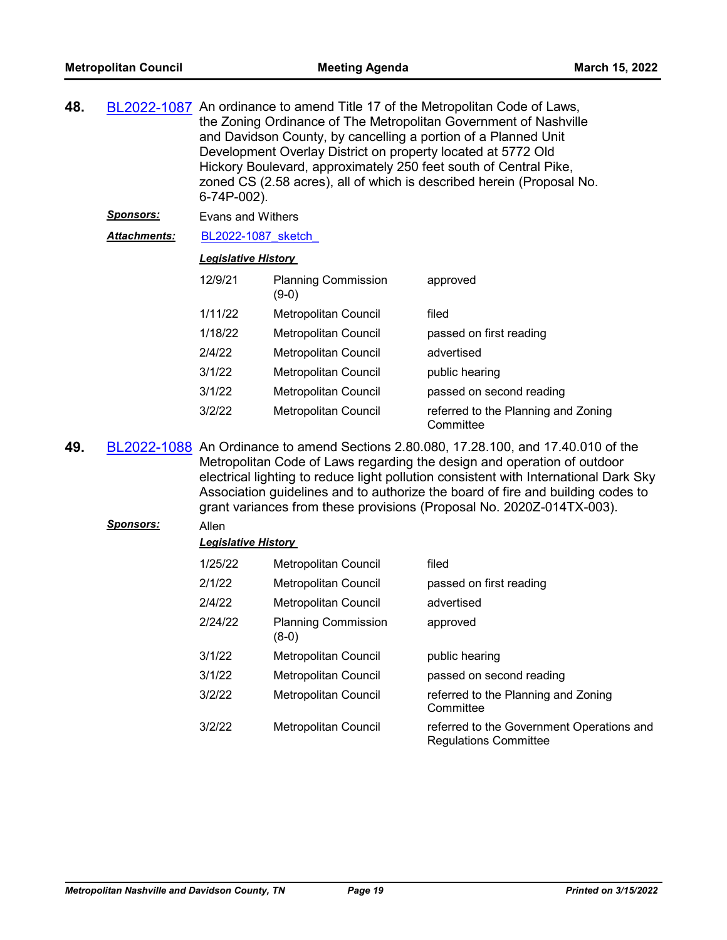| 48. |                     | BL2022-1087 An ordinance to amend Title 17 of the Metropolitan Code of Laws,<br>the Zoning Ordinance of The Metropolitan Government of Nashville<br>and Davidson County, by cancelling a portion of a Planned Unit<br>Development Overlay District on property located at 5772 Old<br>Hickory Boulevard, approximately 250 feet south of Central Pike,<br>zoned CS (2.58 acres), all of which is described herein (Proposal No.<br>6-74P-002). |                                       |                                                                                                                                                                                                                                                                                                                                                                                                                     |
|-----|---------------------|------------------------------------------------------------------------------------------------------------------------------------------------------------------------------------------------------------------------------------------------------------------------------------------------------------------------------------------------------------------------------------------------------------------------------------------------|---------------------------------------|---------------------------------------------------------------------------------------------------------------------------------------------------------------------------------------------------------------------------------------------------------------------------------------------------------------------------------------------------------------------------------------------------------------------|
|     | <u>Sponsors:</u>    | Evans and Withers                                                                                                                                                                                                                                                                                                                                                                                                                              |                                       |                                                                                                                                                                                                                                                                                                                                                                                                                     |
|     | <b>Attachments:</b> | BL2022-1087 sketch                                                                                                                                                                                                                                                                                                                                                                                                                             |                                       |                                                                                                                                                                                                                                                                                                                                                                                                                     |
|     |                     | <b>Legislative History</b>                                                                                                                                                                                                                                                                                                                                                                                                                     |                                       |                                                                                                                                                                                                                                                                                                                                                                                                                     |
|     |                     | 12/9/21                                                                                                                                                                                                                                                                                                                                                                                                                                        | <b>Planning Commission</b><br>$(9-0)$ | approved                                                                                                                                                                                                                                                                                                                                                                                                            |
|     |                     | 1/11/22                                                                                                                                                                                                                                                                                                                                                                                                                                        | Metropolitan Council                  | filed                                                                                                                                                                                                                                                                                                                                                                                                               |
|     |                     | 1/18/22                                                                                                                                                                                                                                                                                                                                                                                                                                        | <b>Metropolitan Council</b>           | passed on first reading                                                                                                                                                                                                                                                                                                                                                                                             |
|     |                     | 2/4/22                                                                                                                                                                                                                                                                                                                                                                                                                                         | Metropolitan Council                  | advertised                                                                                                                                                                                                                                                                                                                                                                                                          |
|     |                     | 3/1/22                                                                                                                                                                                                                                                                                                                                                                                                                                         | Metropolitan Council                  | public hearing                                                                                                                                                                                                                                                                                                                                                                                                      |
|     |                     | 3/1/22                                                                                                                                                                                                                                                                                                                                                                                                                                         | Metropolitan Council                  | passed on second reading                                                                                                                                                                                                                                                                                                                                                                                            |
|     |                     | 3/2/22                                                                                                                                                                                                                                                                                                                                                                                                                                         | <b>Metropolitan Council</b>           | referred to the Planning and Zoning<br>Committee                                                                                                                                                                                                                                                                                                                                                                    |
| 49. |                     |                                                                                                                                                                                                                                                                                                                                                                                                                                                |                                       | BL2022-1088 An Ordinance to amend Sections 2.80.080, 17.28.100, and 17.40.010 of the<br>Metropolitan Code of Laws regarding the design and operation of outdoor<br>electrical lighting to reduce light pollution consistent with International Dark Sky<br>Association guidelines and to authorize the board of fire and building codes to<br>grant variances from these provisions (Proposal No. 2020Z-014TX-003). |
|     | <b>Sponsors:</b>    | Allen                                                                                                                                                                                                                                                                                                                                                                                                                                          |                                       |                                                                                                                                                                                                                                                                                                                                                                                                                     |
|     |                     | <b>Legislative History</b>                                                                                                                                                                                                                                                                                                                                                                                                                     |                                       |                                                                                                                                                                                                                                                                                                                                                                                                                     |
|     |                     | 1/25/22                                                                                                                                                                                                                                                                                                                                                                                                                                        | Metropolitan Council                  | filed                                                                                                                                                                                                                                                                                                                                                                                                               |

| 1/25/22 | Metropolitan Council                  | filed                                                                     |
|---------|---------------------------------------|---------------------------------------------------------------------------|
| 2/1/22  | <b>Metropolitan Council</b>           | passed on first reading                                                   |
| 2/4/22  | <b>Metropolitan Council</b>           | advertised                                                                |
| 2/24/22 | <b>Planning Commission</b><br>$(8-0)$ | approved                                                                  |
| 3/1/22  | Metropolitan Council                  | public hearing                                                            |
| 3/1/22  | Metropolitan Council                  | passed on second reading                                                  |
| 3/2/22  | <b>Metropolitan Council</b>           | referred to the Planning and Zoning<br>Committee                          |
| 3/2/22  | <b>Metropolitan Council</b>           | referred to the Government Operations and<br><b>Regulations Committee</b> |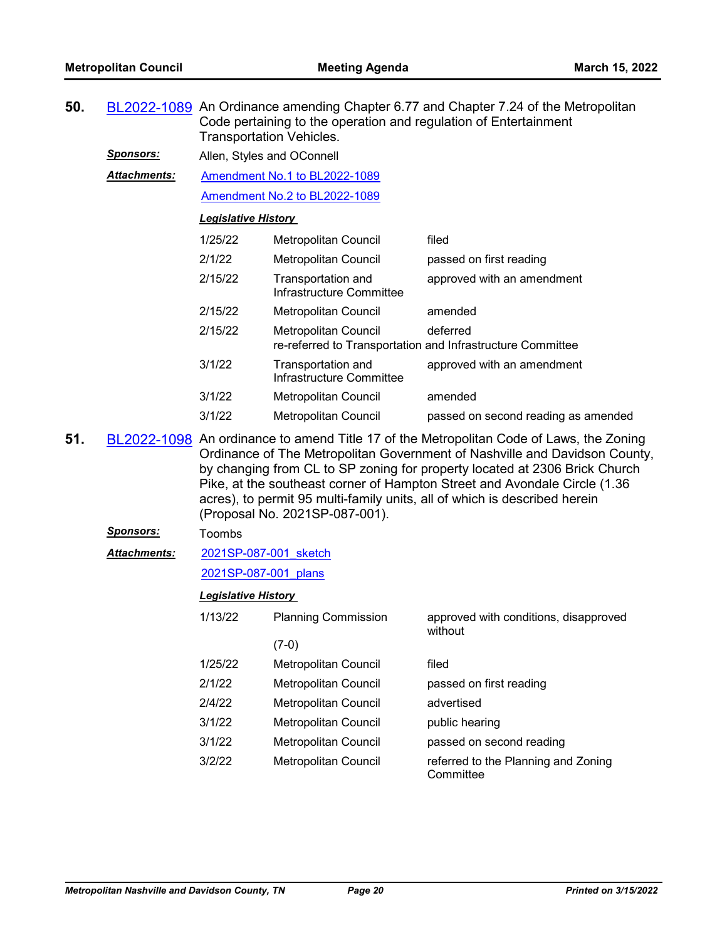| 50. |                     | BL2022-1089 An Ordinance amending Chapter 6.77 and Chapter 7.24 of the Metropolitan<br>Code pertaining to the operation and regulation of Entertainment<br><b>Transportation Vehicles.</b>                                                                                                                                                                                                                                                      |                                                |                                                                        |  |  |
|-----|---------------------|-------------------------------------------------------------------------------------------------------------------------------------------------------------------------------------------------------------------------------------------------------------------------------------------------------------------------------------------------------------------------------------------------------------------------------------------------|------------------------------------------------|------------------------------------------------------------------------|--|--|
|     | <u>Sponsors:</u>    | Allen, Styles and OConnell                                                                                                                                                                                                                                                                                                                                                                                                                      |                                                |                                                                        |  |  |
|     | <b>Attachments:</b> |                                                                                                                                                                                                                                                                                                                                                                                                                                                 | Amendment No.1 to BL2022-1089                  |                                                                        |  |  |
|     |                     |                                                                                                                                                                                                                                                                                                                                                                                                                                                 | Amendment No.2 to BL2022-1089                  |                                                                        |  |  |
|     |                     | <b>Legislative History</b>                                                                                                                                                                                                                                                                                                                                                                                                                      |                                                |                                                                        |  |  |
|     |                     | 1/25/22                                                                                                                                                                                                                                                                                                                                                                                                                                         | Metropolitan Council                           | filed                                                                  |  |  |
|     |                     | 2/1/22                                                                                                                                                                                                                                                                                                                                                                                                                                          | <b>Metropolitan Council</b>                    | passed on first reading                                                |  |  |
|     |                     | 2/15/22                                                                                                                                                                                                                                                                                                                                                                                                                                         | Transportation and<br>Infrastructure Committee | approved with an amendment                                             |  |  |
|     |                     | 2/15/22                                                                                                                                                                                                                                                                                                                                                                                                                                         | <b>Metropolitan Council</b>                    | amended                                                                |  |  |
|     |                     | 2/15/22                                                                                                                                                                                                                                                                                                                                                                                                                                         | <b>Metropolitan Council</b>                    | deferred<br>re-referred to Transportation and Infrastructure Committee |  |  |
|     |                     | 3/1/22                                                                                                                                                                                                                                                                                                                                                                                                                                          | Transportation and<br>Infrastructure Committee | approved with an amendment                                             |  |  |
|     |                     | 3/1/22                                                                                                                                                                                                                                                                                                                                                                                                                                          | Metropolitan Council                           | amended                                                                |  |  |
|     |                     | 3/1/22                                                                                                                                                                                                                                                                                                                                                                                                                                          | Metropolitan Council                           | passed on second reading as amended                                    |  |  |
| 51. |                     | BL2022-1098 An ordinance to amend Title 17 of the Metropolitan Code of Laws, the Zoning<br>Ordinance of The Metropolitan Government of Nashville and Davidson County,<br>by changing from CL to SP zoning for property located at 2306 Brick Church<br>Pike, at the southeast corner of Hampton Street and Avondale Circle (1.36<br>acres), to permit 95 multi-family units, all of which is described herein<br>(Proposal No. 2021SP-087-001). |                                                |                                                                        |  |  |
|     | <b>Sponsors:</b>    | Toombs                                                                                                                                                                                                                                                                                                                                                                                                                                          |                                                |                                                                        |  |  |
|     | <b>Attachments:</b> | 2021SP-087-001 sketch                                                                                                                                                                                                                                                                                                                                                                                                                           |                                                |                                                                        |  |  |
|     |                     | 2021SP-087-001 plans                                                                                                                                                                                                                                                                                                                                                                                                                            |                                                |                                                                        |  |  |
|     |                     | <b>Legislative History</b>                                                                                                                                                                                                                                                                                                                                                                                                                      |                                                |                                                                        |  |  |
|     |                     | 1/13/22                                                                                                                                                                                                                                                                                                                                                                                                                                         | <b>Planning Commission</b>                     | approved with conditions, disapproved<br>without                       |  |  |
|     |                     |                                                                                                                                                                                                                                                                                                                                                                                                                                                 | $(7-0)$                                        |                                                                        |  |  |
|     |                     | 1/25/22                                                                                                                                                                                                                                                                                                                                                                                                                                         | Metropolitan Council                           | filed                                                                  |  |  |
|     |                     | 2/1/22                                                                                                                                                                                                                                                                                                                                                                                                                                          | Metropolitan Council                           | passed on first reading                                                |  |  |
|     |                     | 2/4/22                                                                                                                                                                                                                                                                                                                                                                                                                                          | Metropolitan Council                           | advertised                                                             |  |  |
|     |                     | 3/1/22                                                                                                                                                                                                                                                                                                                                                                                                                                          | Metropolitan Council                           | public hearing                                                         |  |  |
|     |                     | 3/1/22                                                                                                                                                                                                                                                                                                                                                                                                                                          | Metropolitan Council                           | passed on second reading                                               |  |  |
|     |                     | 3/2/22                                                                                                                                                                                                                                                                                                                                                                                                                                          | Metropolitan Council                           | referred to the Planning and Zoning<br>Committee                       |  |  |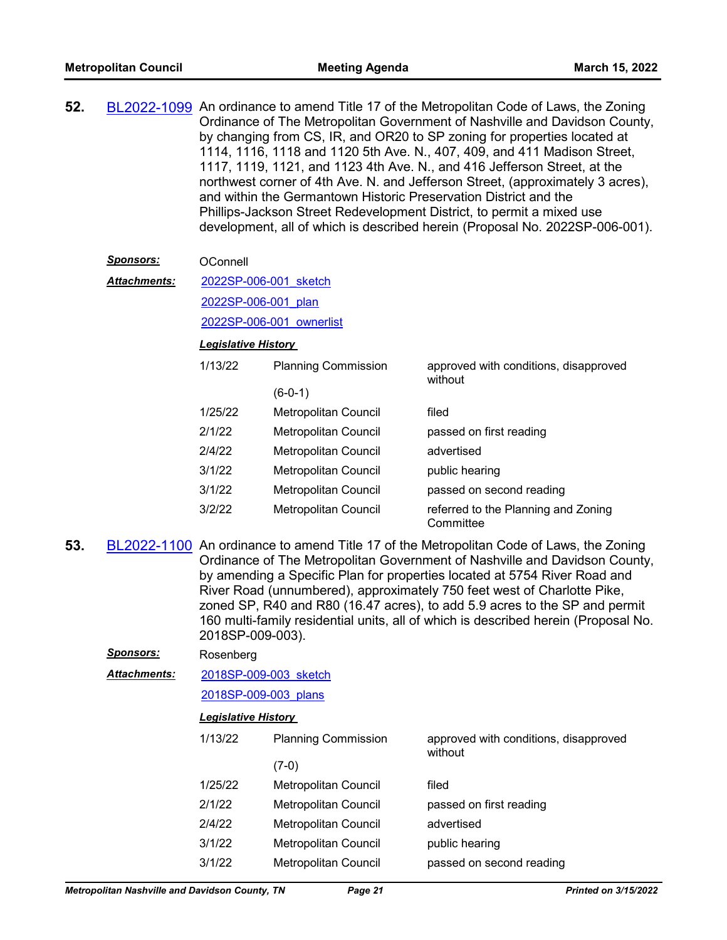| 52. | BL2022-1099 An ordinance to amend Title 17 of the Metropolitan Code of Laws, the Zoning |
|-----|-----------------------------------------------------------------------------------------|
|     | Ordinance of The Metropolitan Government of Nashville and Davidson County,              |
|     | by changing from CS, IR, and OR20 to SP zoning for properties located at                |
|     | 1114, 1116, 1118 and 1120 5th Ave. N., 407, 409, and 411 Madison Street,                |
|     | 1117, 1119, 1121, and 1123 4th Ave. N., and 416 Jefferson Street, at the                |
|     | northwest corner of 4th Ave. N. and Jefferson Street, (approximately 3 acres),          |
|     | and within the Germantown Historic Preservation District and the                        |
|     | Phillips-Jackson Street Redevelopment District, to permit a mixed use                   |
|     | development, all of which is described herein (Proposal No. 2022SP-006-001).            |

#### *Sponsors:* OConnell

[2022SP-006-001\\_sketch](http://nashville.legistar.com/gateway.aspx?M=F&ID=a8c88fcd-9236-4556-bb6d-fc0bb695851f.docx) *Attachments:*

[2022SP-006-001\\_plan](http://nashville.legistar.com/gateway.aspx?M=F&ID=9d98137e-d62d-4113-a3fe-75baef44988f.pdf)

[2022SP-006-001\\_ownerlist](http://nashville.legistar.com/gateway.aspx?M=F&ID=3904bf40-5728-4e2e-8a60-f1cc9f0e367d.xlsx)

#### *Legislative History*

| 1/13/22 | <b>Planning Commission</b>  | approved with conditions, disapproved<br>without |
|---------|-----------------------------|--------------------------------------------------|
|         | $(6-0-1)$                   |                                                  |
| 1/25/22 | Metropolitan Council        | filed                                            |
| 2/1/22  | Metropolitan Council        | passed on first reading                          |
| 2/4/22  | Metropolitan Council        | advertised                                       |
| 3/1/22  | <b>Metropolitan Council</b> | public hearing                                   |
| 3/1/22  | Metropolitan Council        | passed on second reading                         |
| 3/2/22  | <b>Metropolitan Council</b> | referred to the Planning and Zoning<br>Committee |

**53.** [BL2022-1100](http://nashville.legistar.com/gateway.aspx?m=l&id=/matter.aspx?key=14083) An ordinance to amend Title 17 of the Metropolitan Code of Laws, the Zoning Ordinance of The Metropolitan Government of Nashville and Davidson County, by amending a Specific Plan for properties located at 5754 River Road and River Road (unnumbered), approximately 750 feet west of Charlotte Pike, zoned SP, R40 and R80 (16.47 acres), to add 5.9 acres to the SP and permit 160 multi-family residential units, all of which is described herein (Proposal No. 2018SP-009-003).

| <b>Sponsors:</b> | Rosenberg                  |                             |                                                  |  |  |
|------------------|----------------------------|-----------------------------|--------------------------------------------------|--|--|
| Attachments:     |                            | 2018SP-009-003 sketch       |                                                  |  |  |
|                  |                            | 2018SP-009-003 plans        |                                                  |  |  |
|                  | <b>Legislative History</b> |                             |                                                  |  |  |
|                  | 1/13/22                    | <b>Planning Commission</b>  | approved with conditions, disapproved<br>without |  |  |
|                  |                            | $(7-0)$                     |                                                  |  |  |
|                  | 1/25/22                    | Metropolitan Council        | filed                                            |  |  |
|                  | 2/1/22                     | Metropolitan Council        | passed on first reading                          |  |  |
|                  | 2/4/22                     | Metropolitan Council        | advertised                                       |  |  |
|                  | 3/1/22                     | <b>Metropolitan Council</b> | public hearing                                   |  |  |
|                  | 3/1/22                     | Metropolitan Council        | passed on second reading                         |  |  |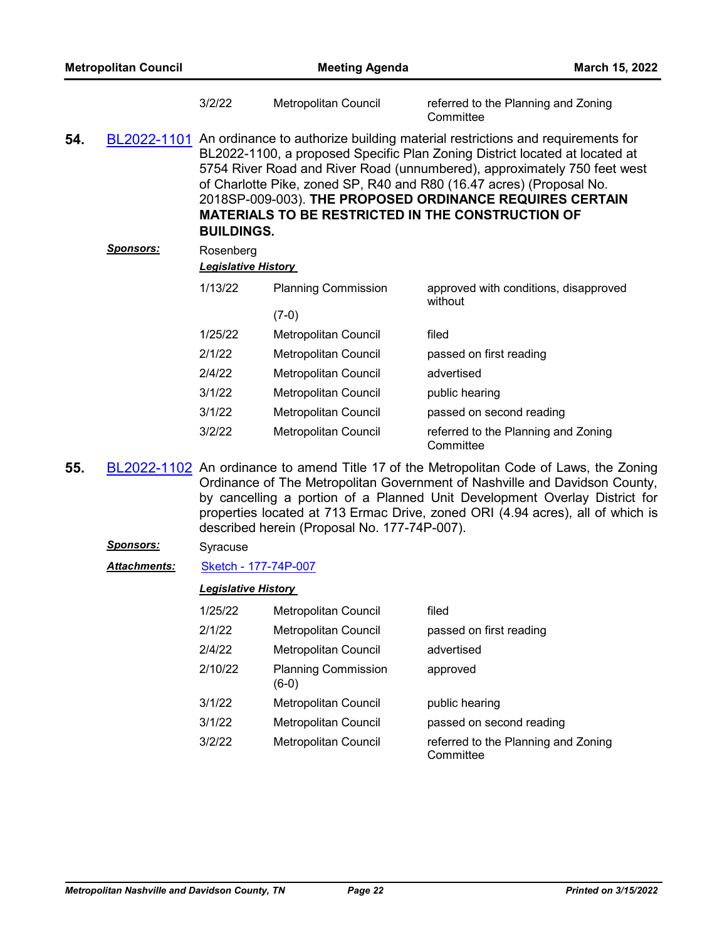| <b>Metropolitan Council</b> |                  | <b>Meeting Agenda</b>                   |                                                                                                                                                                                                                                                                                                                                                                                                                                          |                                                  | March 15, 2022 |
|-----------------------------|------------------|-----------------------------------------|------------------------------------------------------------------------------------------------------------------------------------------------------------------------------------------------------------------------------------------------------------------------------------------------------------------------------------------------------------------------------------------------------------------------------------------|--------------------------------------------------|----------------|
|                             |                  | 3/2/22                                  | Metropolitan Council                                                                                                                                                                                                                                                                                                                                                                                                                     | referred to the Planning and Zoning<br>Committee |                |
| 54.                         | BL2022-1101      | <b>BUILDINGS.</b>                       | An ordinance to authorize building material restrictions and requirements for<br>BL2022-1100, a proposed Specific Plan Zoning District located at located at<br>5754 River Road and River Road (unnumbered), approximately 750 feet west<br>of Charlotte Pike, zoned SP, R40 and R80 (16.47 acres) (Proposal No.<br>2018SP-009-003). THE PROPOSED ORDINANCE REQUIRES CERTAIN<br><b>MATERIALS TO BE RESTRICTED IN THE CONSTRUCTION OF</b> |                                                  |                |
|                             | <b>Sponsors:</b> | Rosenberg<br><b>Legislative History</b> |                                                                                                                                                                                                                                                                                                                                                                                                                                          |                                                  |                |
|                             |                  | 1/13/22                                 | <b>Planning Commission</b><br>$(7-0)$                                                                                                                                                                                                                                                                                                                                                                                                    | approved with conditions, disapproved<br>without |                |
|                             |                  | 1/25/22                                 | <b>Metropolitan Council</b>                                                                                                                                                                                                                                                                                                                                                                                                              | filed                                            |                |
|                             |                  | 2/1/22                                  | <b>Metropolitan Council</b>                                                                                                                                                                                                                                                                                                                                                                                                              | passed on first reading                          |                |
|                             |                  | 2/4/22                                  | Metropolitan Council                                                                                                                                                                                                                                                                                                                                                                                                                     | advertised                                       |                |
|                             |                  | 3/1/22                                  | Metropolitan Council                                                                                                                                                                                                                                                                                                                                                                                                                     | public hearing                                   |                |
|                             |                  | 3/1/22                                  | Metropolitan Council                                                                                                                                                                                                                                                                                                                                                                                                                     | passed on second reading                         |                |
|                             |                  | 3/2/22                                  | Metropolitan Council                                                                                                                                                                                                                                                                                                                                                                                                                     | referred to the Planning and Zoning<br>Committee |                |

55. [BL2022-1102](http://nashville.legistar.com/gateway.aspx?m=l&id=/matter.aspx?key=14102) An ordinance to amend Title 17 of the Metropolitan Code of Laws, the Zoning Ordinance of The Metropolitan Government of Nashville and Davidson County, by cancelling a portion of a Planned Unit Development Overlay District for properties located at 713 Ermac Drive, zoned ORI (4.94 acres), all of which is described herein (Proposal No. 177-74P-007).

## *Sponsors:* Syracuse

*Attachments:* [Sketch - 177-74P-007](http://nashville.legistar.com/gateway.aspx?M=F&ID=6ce8e99d-aa93-4dde-b895-19bc8843d1c0.docx)

| 1/25/22 | <b>Metropolitan Council</b>           | filed                                            |
|---------|---------------------------------------|--------------------------------------------------|
| 2/1/22  | Metropolitan Council                  | passed on first reading                          |
| 2/4/22  | Metropolitan Council                  | advertised                                       |
| 2/10/22 | <b>Planning Commission</b><br>$(6-0)$ | approved                                         |
| 3/1/22  | <b>Metropolitan Council</b>           | public hearing                                   |
| 3/1/22  | Metropolitan Council                  | passed on second reading                         |
| 3/2/22  | Metropolitan Council                  | referred to the Planning and Zoning<br>Committee |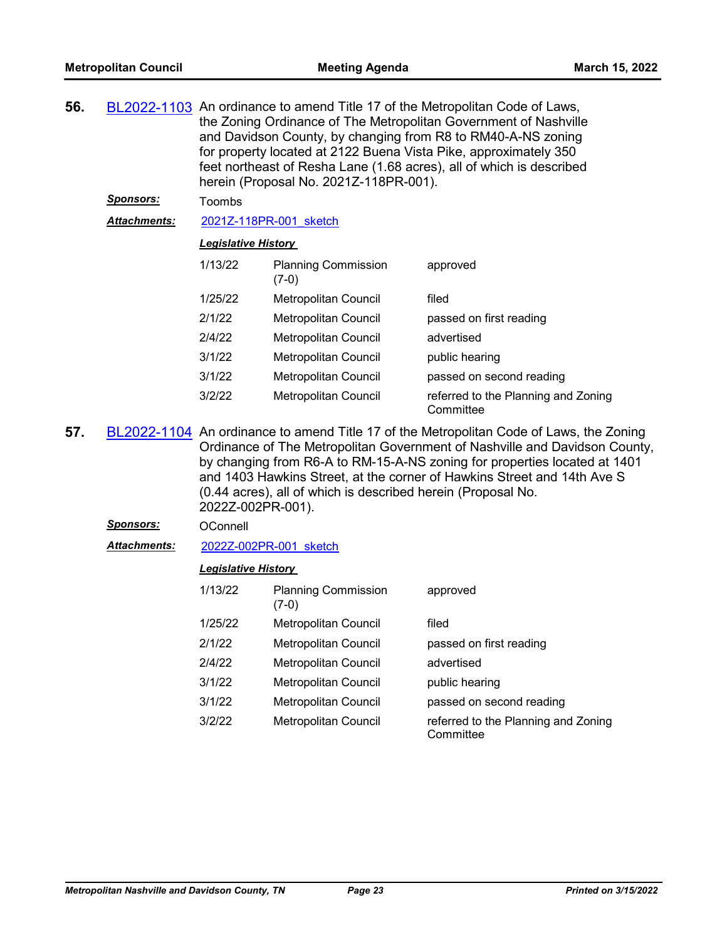| 56. |                  | BL2022-1103 An ordinance to amend Title 17 of the Metropolitan Code of Laws,<br>the Zoning Ordinance of The Metropolitan Government of Nashville<br>and Davidson County, by changing from R8 to RM40-A-NS zoning<br>for property located at 2122 Buena Vista Pike, approximately 350<br>feet northeast of Resha Lane (1.68 acres), all of which is described<br>herein (Proposal No. 2021Z-118PR-001). |                                       |                                                  |  |  |  |
|-----|------------------|--------------------------------------------------------------------------------------------------------------------------------------------------------------------------------------------------------------------------------------------------------------------------------------------------------------------------------------------------------------------------------------------------------|---------------------------------------|--------------------------------------------------|--|--|--|
|     | <u>Sponsors:</u> | Toombs                                                                                                                                                                                                                                                                                                                                                                                                 |                                       |                                                  |  |  |  |
|     | Attachments:     | 2021Z-118PR-001 sketch                                                                                                                                                                                                                                                                                                                                                                                 |                                       |                                                  |  |  |  |
|     |                  | <b>Legislative History</b>                                                                                                                                                                                                                                                                                                                                                                             |                                       |                                                  |  |  |  |
|     |                  | 1/13/22                                                                                                                                                                                                                                                                                                                                                                                                | <b>Planning Commission</b><br>$(7-0)$ | approved                                         |  |  |  |
|     |                  | 1/25/22                                                                                                                                                                                                                                                                                                                                                                                                | <b>Metropolitan Council</b>           | filed                                            |  |  |  |
|     |                  | 2/1/22                                                                                                                                                                                                                                                                                                                                                                                                 | Metropolitan Council                  | passed on first reading                          |  |  |  |
|     |                  | 2/4/22                                                                                                                                                                                                                                                                                                                                                                                                 | Metropolitan Council                  | advertised                                       |  |  |  |
|     |                  | 3/1/22                                                                                                                                                                                                                                                                                                                                                                                                 | <b>Metropolitan Council</b>           | public hearing                                   |  |  |  |
|     |                  | 3/1/22                                                                                                                                                                                                                                                                                                                                                                                                 | Metropolitan Council                  | passed on second reading                         |  |  |  |
|     |                  | 3/2/22                                                                                                                                                                                                                                                                                                                                                                                                 | Metropolitan Council                  | referred to the Planning and Zoning<br>Committee |  |  |  |

**57.** [BL2022-1104](http://nashville.legistar.com/gateway.aspx?m=l&id=/matter.aspx?key=14077) An ordinance to amend Title 17 of the Metropolitan Code of Laws, the Zoning Ordinance of The Metropolitan Government of Nashville and Davidson County, by changing from R6-A to RM-15-A-NS zoning for properties located at 1401 and 1403 Hawkins Street, at the corner of Hawkins Street and 14th Ave S (0.44 acres), all of which is described herein (Proposal No. 2022Z-002PR-001).

# *Sponsors:* OConnell

*Attachments:* [2022Z-002PR-001\\_sketch](http://nashville.legistar.com/gateway.aspx?M=F&ID=1b922052-ef55-4638-84ef-63c38526f3ec.docx)

| 1/13/22 | <b>Planning Commission</b><br>(7-0) | approved                                         |
|---------|-------------------------------------|--------------------------------------------------|
| 1/25/22 | Metropolitan Council                | filed                                            |
| 2/1/22  | Metropolitan Council                | passed on first reading                          |
| 2/4/22  | Metropolitan Council                | advertised                                       |
| 3/1/22  | Metropolitan Council                | public hearing                                   |
| 3/1/22  | Metropolitan Council                | passed on second reading                         |
| 3/2/22  | Metropolitan Council                | referred to the Planning and Zoning<br>Committee |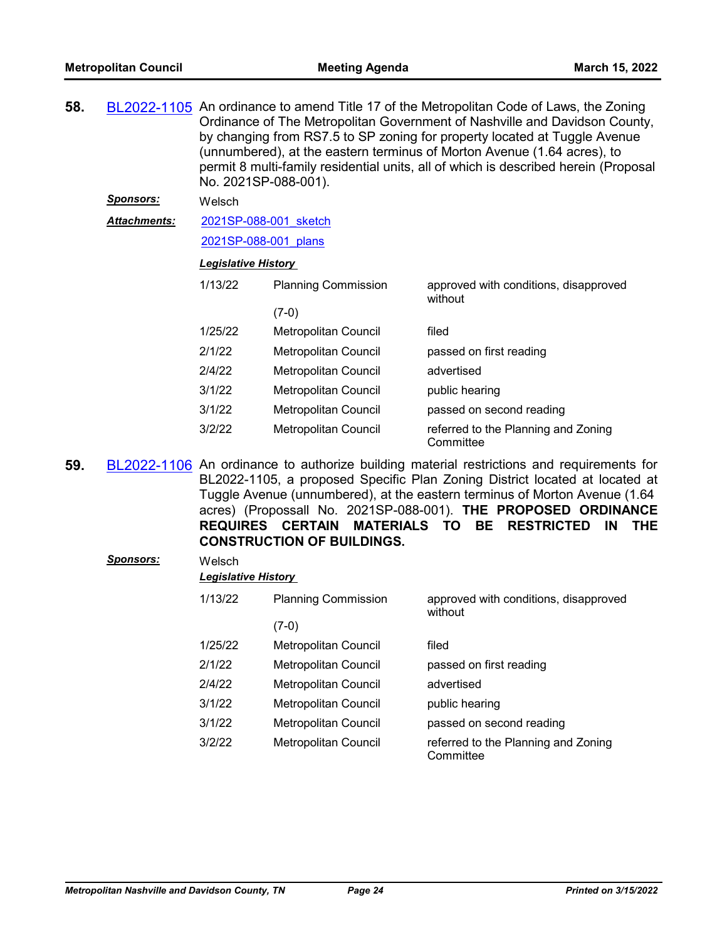| 58. |                  | BL2022-1105 An ordinance to amend Title 17 of the Metropolitan Code of Laws, the Zoning<br>Ordinance of The Metropolitan Government of Nashville and Davidson County,<br>by changing from RS7.5 to SP zoning for property located at Tuggle Avenue<br>(unnumbered), at the eastern terminus of Morton Avenue (1.64 acres), to<br>permit 8 multi-family residential units, all of which is described herein (Proposal |                             |                                                                                              |  |  |
|-----|------------------|----------------------------------------------------------------------------------------------------------------------------------------------------------------------------------------------------------------------------------------------------------------------------------------------------------------------------------------------------------------------------------------------------------------------|-----------------------------|----------------------------------------------------------------------------------------------|--|--|
|     | <b>Sponsors:</b> | Welsch                                                                                                                                                                                                                                                                                                                                                                                                               |                             |                                                                                              |  |  |
|     | Attachments:     | 2021SP-088-001 sketch                                                                                                                                                                                                                                                                                                                                                                                                |                             |                                                                                              |  |  |
|     |                  | 2021SP-088-001 plans                                                                                                                                                                                                                                                                                                                                                                                                 |                             |                                                                                              |  |  |
|     |                  | <b>Legislative History</b>                                                                                                                                                                                                                                                                                                                                                                                           |                             |                                                                                              |  |  |
|     |                  | 1/13/22                                                                                                                                                                                                                                                                                                                                                                                                              | <b>Planning Commission</b>  | approved with conditions, disapproved<br>without                                             |  |  |
|     |                  |                                                                                                                                                                                                                                                                                                                                                                                                                      | $(7-0)$                     |                                                                                              |  |  |
|     |                  | 1/25/22                                                                                                                                                                                                                                                                                                                                                                                                              | Metropolitan Council        | filed                                                                                        |  |  |
|     |                  | 2/1/22                                                                                                                                                                                                                                                                                                                                                                                                               | <b>Metropolitan Council</b> | passed on first reading                                                                      |  |  |
|     |                  | 2/4/22                                                                                                                                                                                                                                                                                                                                                                                                               | Metropolitan Council        | advertised                                                                                   |  |  |
|     |                  | 3/1/22                                                                                                                                                                                                                                                                                                                                                                                                               | <b>Metropolitan Council</b> | public hearing                                                                               |  |  |
|     |                  | 3/1/22                                                                                                                                                                                                                                                                                                                                                                                                               | <b>Metropolitan Council</b> | passed on second reading                                                                     |  |  |
|     |                  | 3/2/22                                                                                                                                                                                                                                                                                                                                                                                                               | Metropolitan Council        | referred to the Planning and Zoning<br>Committee                                             |  |  |
| EΩ  |                  |                                                                                                                                                                                                                                                                                                                                                                                                                      |                             | DI 2022 1106. An ordinance to quitborize building material rectrictions and requirements for |  |  |

**59.** [BL2022-1106](http://nashville.legistar.com/gateway.aspx?m=l&id=/matter.aspx?key=14089) An ordinance to authorize building material restrictions and requirements for BL2022-1105, a proposed Specific Plan Zoning District located at located at Tuggle Avenue (unnumbered), at the eastern terminus of Morton Avenue (1.64 acres) (Propossall No. 2021SP-088-001). **THE PROPOSED ORDINANCE REQUIRES CERTAIN MATERIALS TO BE RESTRICTED IN THE CONSTRUCTION OF BUILDINGS.**

| Sponsors: | Welsch  | <b>Legislative History</b> |                                                  |  |  |  |
|-----------|---------|----------------------------|--------------------------------------------------|--|--|--|
|           | 1/13/22 | <b>Planning Commission</b> | approved with conditions, disapproved<br>without |  |  |  |
|           |         | $(7-0)$                    |                                                  |  |  |  |
|           | 1/25/22 | Metropolitan Council       | filed                                            |  |  |  |
|           | 2/1/22  | Metropolitan Council       | passed on first reading                          |  |  |  |
|           | 2/4/22  | Metropolitan Council       | advertised                                       |  |  |  |
|           | 3/1/22  | Metropolitan Council       | public hearing                                   |  |  |  |
|           | 3/1/22  | Metropolitan Council       | passed on second reading                         |  |  |  |
|           | 3/2/22  | Metropolitan Council       | referred to the Planning and Zoning<br>Committee |  |  |  |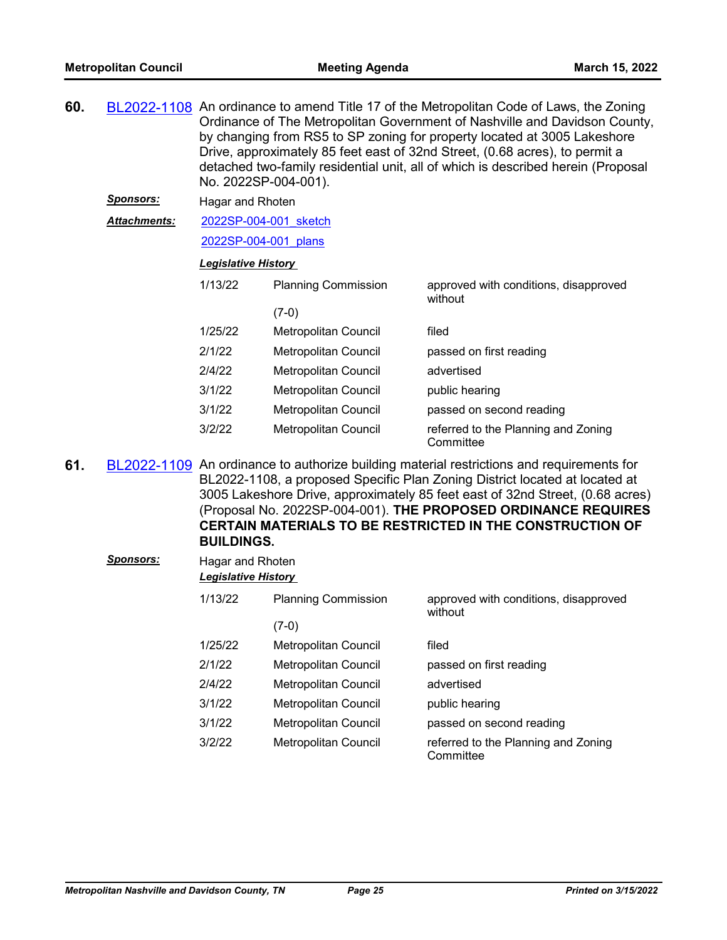| 60. | BL2022-1108 An ordinance to amend Title 17 of the Metropolitan Code of Laws, the Zoning<br>Ordinance of The Metropolitan Government of Nashville and Davidson County,<br>by changing from RS5 to SP zoning for property located at 3005 Lakeshore<br>Drive, approximately 85 feet east of 32nd Street, (0.68 acres), to permit a<br>detached two-family residential unit, all of which is described herein (Proposal<br>No. 2022SP-004-001). |                            |                            |                                                  |  |  |
|-----|----------------------------------------------------------------------------------------------------------------------------------------------------------------------------------------------------------------------------------------------------------------------------------------------------------------------------------------------------------------------------------------------------------------------------------------------|----------------------------|----------------------------|--------------------------------------------------|--|--|
|     | <u>Sponsors:</u>                                                                                                                                                                                                                                                                                                                                                                                                                             | Hagar and Rhoten           |                            |                                                  |  |  |
|     | Attachments:                                                                                                                                                                                                                                                                                                                                                                                                                                 | 2022SP-004-001 sketch      |                            |                                                  |  |  |
|     |                                                                                                                                                                                                                                                                                                                                                                                                                                              | 2022SP-004-001 plans       |                            |                                                  |  |  |
|     |                                                                                                                                                                                                                                                                                                                                                                                                                                              | <b>Legislative History</b> |                            |                                                  |  |  |
|     |                                                                                                                                                                                                                                                                                                                                                                                                                                              | 1/13/22                    | <b>Planning Commission</b> | approved with conditions, disapproved<br>without |  |  |
|     |                                                                                                                                                                                                                                                                                                                                                                                                                                              |                            | $(7-0)$                    |                                                  |  |  |
|     |                                                                                                                                                                                                                                                                                                                                                                                                                                              | 1/25/22                    | Metropolitan Council       | filed                                            |  |  |
|     |                                                                                                                                                                                                                                                                                                                                                                                                                                              | 2/1/22                     | Metropolitan Council       | passed on first reading                          |  |  |
|     |                                                                                                                                                                                                                                                                                                                                                                                                                                              | 2/4/22                     | Metropolitan Council       | advertised                                       |  |  |
|     |                                                                                                                                                                                                                                                                                                                                                                                                                                              | 3/1/22                     | Metropolitan Council       | public hearing                                   |  |  |
|     |                                                                                                                                                                                                                                                                                                                                                                                                                                              | 3/1/22                     | Metropolitan Council       | passed on second reading                         |  |  |
|     |                                                                                                                                                                                                                                                                                                                                                                                                                                              | 3/2/22                     | Metropolitan Council       | referred to the Planning and Zoning<br>Committee |  |  |

**61.** [BL2022-1109](http://nashville.legistar.com/gateway.aspx?m=l&id=/matter.aspx?key=14091) An ordinance to authorize building material restrictions and requirements for BL2022-1108, a proposed Specific Plan Zoning District located at located at 3005 Lakeshore Drive, approximately 85 feet east of 32nd Street, (0.68 acres) (Proposal No. 2022SP-004-001). **THE PROPOSED ORDINANCE REQUIRES CERTAIN MATERIALS TO BE RESTRICTED IN THE CONSTRUCTION OF BUILDINGS.**

| Sponsors: |         | Hagar and Rhoten<br><b>Legislative History</b> |                                                  |  |  |  |
|-----------|---------|------------------------------------------------|--------------------------------------------------|--|--|--|
|           | 1/13/22 | <b>Planning Commission</b>                     | approved with conditions, disapproved<br>without |  |  |  |
|           |         | $(7-0)$                                        |                                                  |  |  |  |
|           | 1/25/22 | Metropolitan Council                           | filed                                            |  |  |  |
|           | 2/1/22  | Metropolitan Council                           | passed on first reading                          |  |  |  |
|           | 2/4/22  | Metropolitan Council                           | advertised                                       |  |  |  |
|           | 3/1/22  | Metropolitan Council                           | public hearing                                   |  |  |  |
|           | 3/1/22  | Metropolitan Council                           | passed on second reading                         |  |  |  |
|           | 3/2/22  | Metropolitan Council                           | referred to the Planning and Zoning<br>Committee |  |  |  |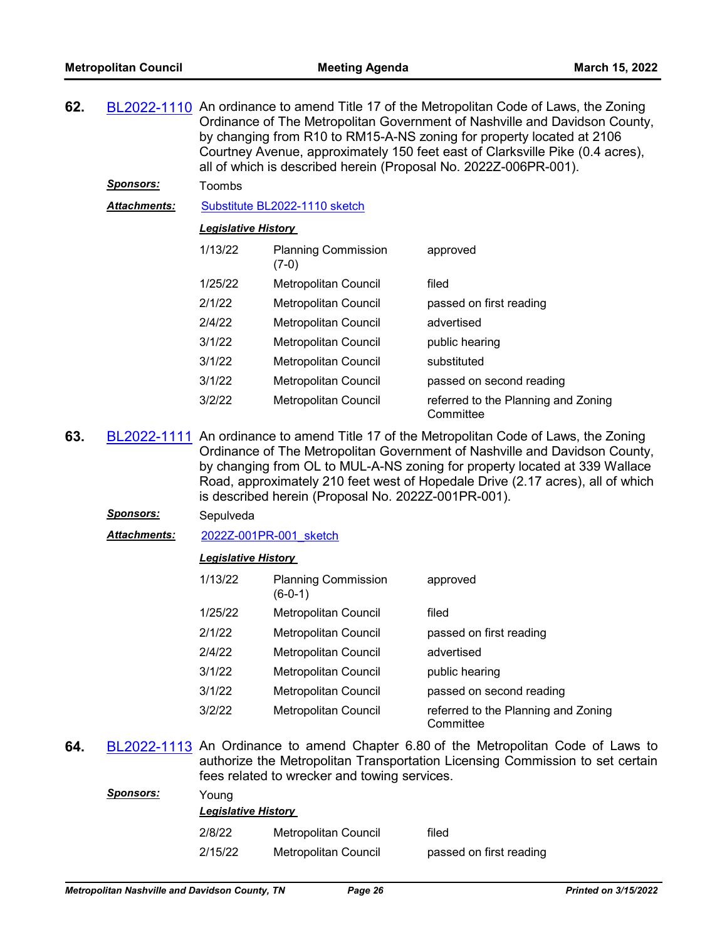| 62. |                     | BL2022-1110 An ordinance to amend Title 17 of the Metropolitan Code of Laws, the Zoning<br>Ordinance of The Metropolitan Government of Nashville and Davidson County,<br>by changing from R10 to RM15-A-NS zoning for property located at 2106<br>Courtney Avenue, approximately 150 feet east of Clarksville Pike (0.4 acres),<br>all of which is described herein (Proposal No. 2022Z-006PR-001). |                                       |                                                  |  |
|-----|---------------------|-----------------------------------------------------------------------------------------------------------------------------------------------------------------------------------------------------------------------------------------------------------------------------------------------------------------------------------------------------------------------------------------------------|---------------------------------------|--------------------------------------------------|--|
|     | <b>Sponsors:</b>    | Toombs                                                                                                                                                                                                                                                                                                                                                                                              |                                       |                                                  |  |
|     | <u>Attachments:</u> | Substitute BL2022-1110 sketch                                                                                                                                                                                                                                                                                                                                                                       |                                       |                                                  |  |
|     |                     | <b>Legislative History</b>                                                                                                                                                                                                                                                                                                                                                                          |                                       |                                                  |  |
|     |                     | 1/13/22                                                                                                                                                                                                                                                                                                                                                                                             | <b>Planning Commission</b><br>$(7-0)$ | approved                                         |  |
|     |                     | 1/25/22                                                                                                                                                                                                                                                                                                                                                                                             | <b>Metropolitan Council</b>           | filed                                            |  |
|     |                     | 2/1/22                                                                                                                                                                                                                                                                                                                                                                                              | Metropolitan Council                  | passed on first reading                          |  |
|     |                     | 2/4/22                                                                                                                                                                                                                                                                                                                                                                                              | Metropolitan Council                  | advertised                                       |  |
|     |                     | 3/1/22                                                                                                                                                                                                                                                                                                                                                                                              | <b>Metropolitan Council</b>           | public hearing                                   |  |
|     |                     | 3/1/22                                                                                                                                                                                                                                                                                                                                                                                              | <b>Metropolitan Council</b>           | substituted                                      |  |
|     |                     | 3/1/22                                                                                                                                                                                                                                                                                                                                                                                              | <b>Metropolitan Council</b>           | passed on second reading                         |  |
|     |                     | 3/2/22                                                                                                                                                                                                                                                                                                                                                                                              | <b>Metropolitan Council</b>           | referred to the Planning and Zoning<br>Committee |  |

**63.** [BL2022-1111](http://nashville.legistar.com/gateway.aspx?m=l&id=/matter.aspx?key=14076) An ordinance to amend Title 17 of the Metropolitan Code of Laws, the Zoning Ordinance of The Metropolitan Government of Nashville and Davidson County, by changing from OL to MUL-A-NS zoning for property located at 339 Wallace Road, approximately 210 feet west of Hopedale Drive (2.17 acres), all of which is described herein (Proposal No. 2022Z-001PR-001).

#### *Sponsors:* Sepulveda

*Attachments:* [2022Z-001PR-001\\_sketch](http://nashville.legistar.com/gateway.aspx?M=F&ID=b72eeb8a-943a-41a4-bb85-588d58a32f68.docx)

#### *Legislative History*

| 1/13/22 | <b>Planning Commission</b><br>$(6-0-1)$ | approved                                         |
|---------|-----------------------------------------|--------------------------------------------------|
| 1/25/22 | <b>Metropolitan Council</b>             | filed                                            |
| 2/1/22  | <b>Metropolitan Council</b>             | passed on first reading                          |
| 2/4/22  | <b>Metropolitan Council</b>             | advertised                                       |
| 3/1/22  | <b>Metropolitan Council</b>             | public hearing                                   |
| 3/1/22  | <b>Metropolitan Council</b>             | passed on second reading                         |
| 3/2/22  | <b>Metropolitan Council</b>             | referred to the Planning and Zoning<br>Committee |

**64.** [BL2022-1113](http://nashville.legistar.com/gateway.aspx?m=l&id=/matter.aspx?key=14134) An Ordinance to amend Chapter 6.80 of the Metropolitan Code of Laws to authorize the Metropolitan Transportation Licensing Commission to set certain fees related to wrecker and towing services.

| Sponsors: | Young<br><b>Legislative History</b> |                      |                         |  |  |
|-----------|-------------------------------------|----------------------|-------------------------|--|--|
|           | 2/8/22                              | Metropolitan Council | filed                   |  |  |
|           | 2/15/22                             | Metropolitan Council | passed on first reading |  |  |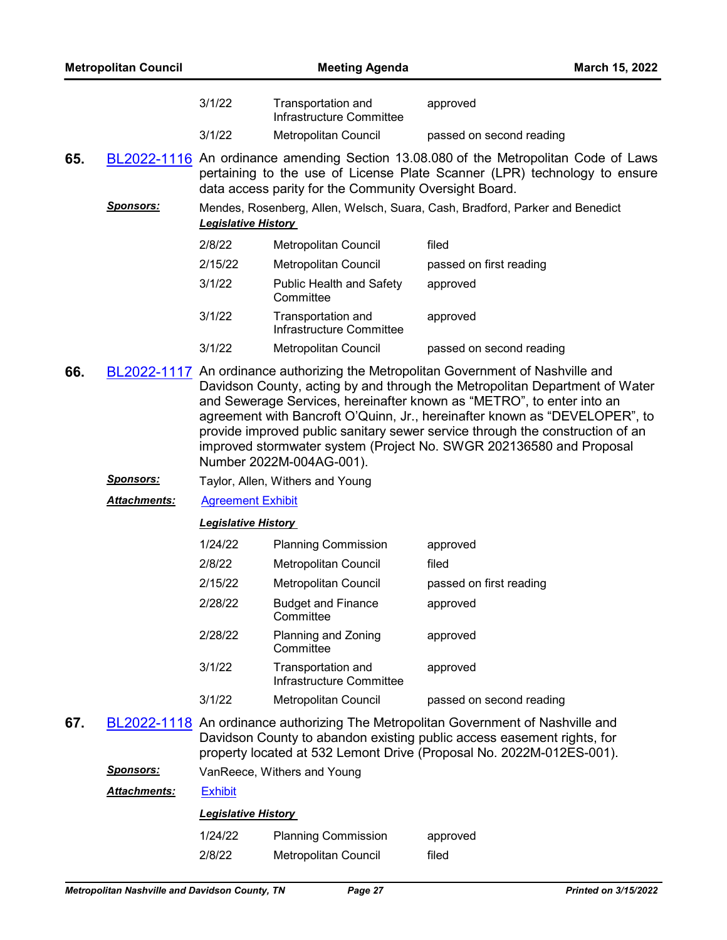| <b>Metropolitan Council</b> |                      | <b>Meeting Agenda</b>            |                                                       |                                                                                                                                                                                                                                                                                                                                                                                                                                                                                 | March 15, 2022 |
|-----------------------------|----------------------|----------------------------------|-------------------------------------------------------|---------------------------------------------------------------------------------------------------------------------------------------------------------------------------------------------------------------------------------------------------------------------------------------------------------------------------------------------------------------------------------------------------------------------------------------------------------------------------------|----------------|
|                             |                      | 3/1/22                           | Transportation and<br>Infrastructure Committee        | approved                                                                                                                                                                                                                                                                                                                                                                                                                                                                        |                |
|                             |                      | 3/1/22                           | <b>Metropolitan Council</b>                           | passed on second reading                                                                                                                                                                                                                                                                                                                                                                                                                                                        |                |
| 65.                         |                      |                                  | data access parity for the Community Oversight Board. | BL2022-1116 An ordinance amending Section 13.08.080 of the Metropolitan Code of Laws<br>pertaining to the use of License Plate Scanner (LPR) technology to ensure                                                                                                                                                                                                                                                                                                               |                |
|                             | <u>Sponsors:</u>     | <b>Legislative History</b>       |                                                       | Mendes, Rosenberg, Allen, Welsch, Suara, Cash, Bradford, Parker and Benedict                                                                                                                                                                                                                                                                                                                                                                                                    |                |
|                             |                      | 2/8/22                           | Metropolitan Council                                  | filed                                                                                                                                                                                                                                                                                                                                                                                                                                                                           |                |
|                             |                      | 2/15/22                          | Metropolitan Council                                  | passed on first reading                                                                                                                                                                                                                                                                                                                                                                                                                                                         |                |
|                             |                      | 3/1/22                           | <b>Public Health and Safety</b><br>Committee          | approved                                                                                                                                                                                                                                                                                                                                                                                                                                                                        |                |
|                             |                      | 3/1/22                           | Transportation and<br>Infrastructure Committee        | approved                                                                                                                                                                                                                                                                                                                                                                                                                                                                        |                |
|                             |                      | 3/1/22                           | Metropolitan Council                                  | passed on second reading                                                                                                                                                                                                                                                                                                                                                                                                                                                        |                |
| 66.                         |                      |                                  | Number 2022M-004AG-001).                              | BL2022-1117 An ordinance authorizing the Metropolitan Government of Nashville and<br>Davidson County, acting by and through the Metropolitan Department of Water<br>and Sewerage Services, hereinafter known as "METRO", to enter into an<br>agreement with Bancroft O'Quinn, Jr., hereinafter known as "DEVELOPER", to<br>provide improved public sanitary sewer service through the construction of an<br>improved stormwater system (Project No. SWGR 202136580 and Proposal |                |
|                             | <u>Sponsors:</u>     | Taylor, Allen, Withers and Young |                                                       |                                                                                                                                                                                                                                                                                                                                                                                                                                                                                 |                |
|                             | <u> Attachments:</u> | <b>Agreement Exhibit</b>         |                                                       |                                                                                                                                                                                                                                                                                                                                                                                                                                                                                 |                |
|                             |                      | <b>Legislative History</b>       |                                                       |                                                                                                                                                                                                                                                                                                                                                                                                                                                                                 |                |
|                             |                      | 1/24/22                          | <b>Planning Commission</b>                            | approved                                                                                                                                                                                                                                                                                                                                                                                                                                                                        |                |
|                             |                      | 2/8/22                           | Metropolitan Council                                  | filed                                                                                                                                                                                                                                                                                                                                                                                                                                                                           |                |
|                             |                      | 2/15/22                          | Metropolitan Council                                  | passed on first reading                                                                                                                                                                                                                                                                                                                                                                                                                                                         |                |
|                             |                      | 2/28/22                          | <b>Budget and Finance</b><br>Committee                | approved                                                                                                                                                                                                                                                                                                                                                                                                                                                                        |                |
|                             |                      | 2/28/22                          | Planning and Zoning<br>Committee                      | approved                                                                                                                                                                                                                                                                                                                                                                                                                                                                        |                |
|                             |                      | 3/1/22                           | Transportation and<br>Infrastructure Committee        | approved                                                                                                                                                                                                                                                                                                                                                                                                                                                                        |                |
|                             |                      | 3/1/22                           | Metropolitan Council                                  | passed on second reading                                                                                                                                                                                                                                                                                                                                                                                                                                                        |                |

- **67.** [BL2022-1118](http://nashville.legistar.com/gateway.aspx?m=l&id=/matter.aspx?key=14128) An ordinance authorizing The Metropolitan Government of Nashville and Davidson County to abandon existing public access easement rights, for property located at 532 Lemont Drive (Proposal No. 2022M-012ES-001).
	- *Sponsors:* VanReece, Withers and Young

# *Attachments:* [Exhibit](http://nashville.legistar.com/gateway.aspx?M=F&ID=48475dbe-6e67-4913-b4e7-b4dfbfc48b16.pdf)

| <b>Legislative History</b> |                         |  |  |  |
|----------------------------|-------------------------|--|--|--|
| 1/24/22                    | <b>Planning Commiss</b> |  |  |  |

| 1/24/22 | <b>Planning Commission</b>  | approved |
|---------|-----------------------------|----------|
| 2/8/22  | <b>Metropolitan Council</b> | filed    |